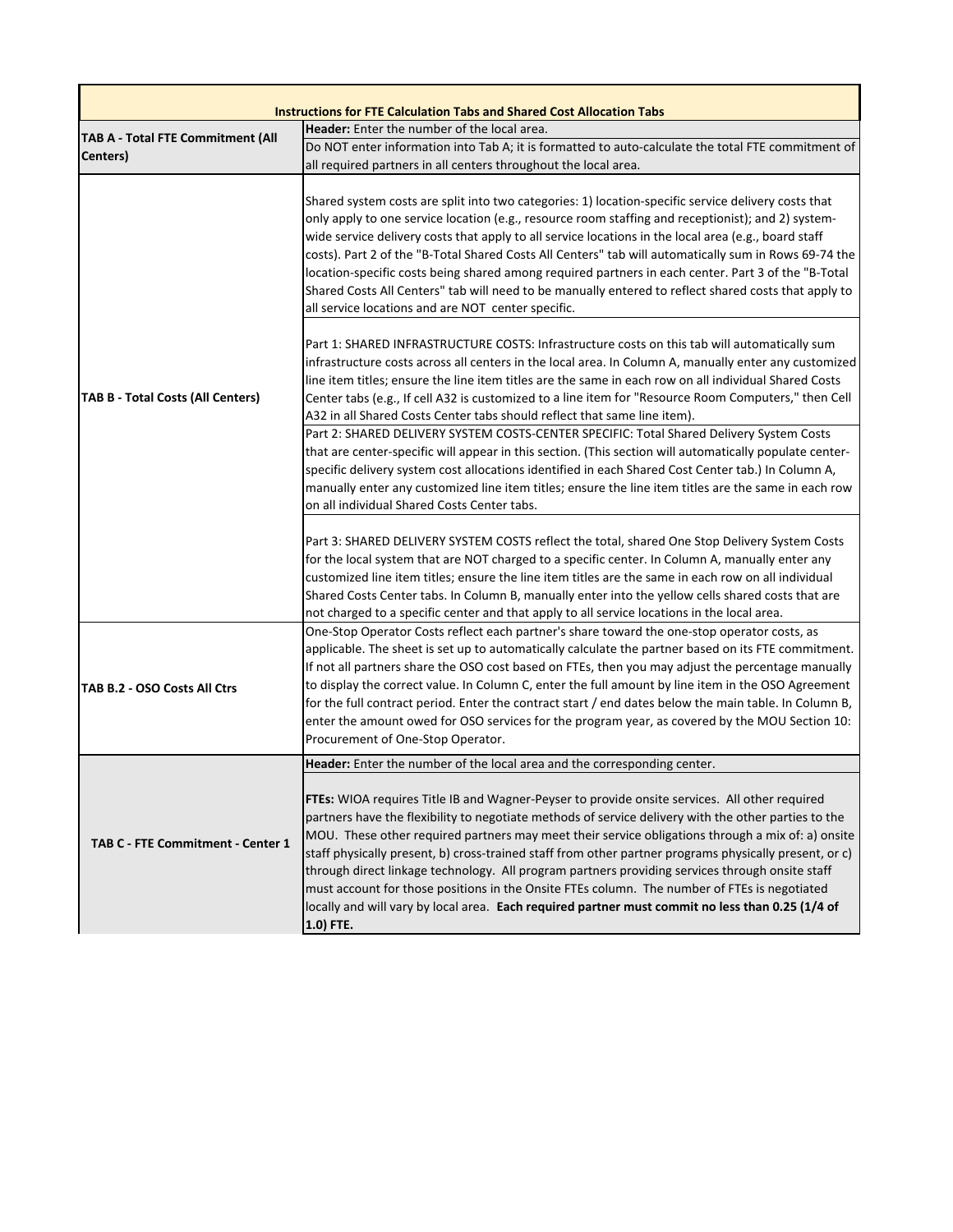|                                          | <b>Instructions for FTE Calculation Tabs and Shared Cost Allocation Tabs</b>                                                                                                                                                                                                                                                                                                                                                                                                                                                                                                                                                                                                                                                                                                                                                                                                                                                                                                                                                                                                                                                                                                                                                                                                                                                                                                                                                                                                                                       |
|------------------------------------------|--------------------------------------------------------------------------------------------------------------------------------------------------------------------------------------------------------------------------------------------------------------------------------------------------------------------------------------------------------------------------------------------------------------------------------------------------------------------------------------------------------------------------------------------------------------------------------------------------------------------------------------------------------------------------------------------------------------------------------------------------------------------------------------------------------------------------------------------------------------------------------------------------------------------------------------------------------------------------------------------------------------------------------------------------------------------------------------------------------------------------------------------------------------------------------------------------------------------------------------------------------------------------------------------------------------------------------------------------------------------------------------------------------------------------------------------------------------------------------------------------------------------|
|                                          | <b>Header:</b> Enter the number of the local area.                                                                                                                                                                                                                                                                                                                                                                                                                                                                                                                                                                                                                                                                                                                                                                                                                                                                                                                                                                                                                                                                                                                                                                                                                                                                                                                                                                                                                                                                 |
| <b>TAB A - Total FTE Commitment (All</b> | Do NOT enter information into Tab A; it is formatted to auto-calculate the total FTE commitment of                                                                                                                                                                                                                                                                                                                                                                                                                                                                                                                                                                                                                                                                                                                                                                                                                                                                                                                                                                                                                                                                                                                                                                                                                                                                                                                                                                                                                 |
| Centers)                                 | all required partners in all centers throughout the local area.                                                                                                                                                                                                                                                                                                                                                                                                                                                                                                                                                                                                                                                                                                                                                                                                                                                                                                                                                                                                                                                                                                                                                                                                                                                                                                                                                                                                                                                    |
| <b>TAB B - Total Costs (All Centers)</b> | Shared system costs are split into two categories: 1) location-specific service delivery costs that<br>only apply to one service location (e.g., resource room staffing and receptionist); and 2) system-<br>wide service delivery costs that apply to all service locations in the local area (e.g., board staff<br>costs). Part 2 of the "B-Total Shared Costs All Centers" tab will automatically sum in Rows 69-74 the<br>location-specific costs being shared among required partners in each center. Part 3 of the "B-Total<br>Shared Costs All Centers" tab will need to be manually entered to reflect shared costs that apply to<br>all service locations and are NOT center specific.<br>Part 1: SHARED INFRASTRUCTURE COSTS: Infrastructure costs on this tab will automatically sum<br>infrastructure costs across all centers in the local area. In Column A, manually enter any customized<br>line item titles; ensure the line item titles are the same in each row on all individual Shared Costs<br>Center tabs (e.g., If cell A32 is customized to a line item for "Resource Room Computers," then Cell<br>A32 in all Shared Costs Center tabs should reflect that same line item).<br>Part 2: SHARED DELIVERY SYSTEM COSTS-CENTER SPECIFIC: Total Shared Delivery System Costs<br>that are center-specific will appear in this section. (This section will automatically populate center-<br>specific delivery system cost allocations identified in each Shared Cost Center tab.) In Column A, |
|                                          | manually enter any customized line item titles; ensure the line item titles are the same in each row<br>on all individual Shared Costs Center tabs.<br>Part 3: SHARED DELIVERY SYSTEM COSTS reflect the total, shared One Stop Delivery System Costs<br>for the local system that are NOT charged to a specific center. In Column A, manually enter any<br>customized line item titles; ensure the line item titles are the same in each row on all individual<br>Shared Costs Center tabs. In Column B, manually enter into the yellow cells shared costs that are<br>not charged to a specific center and that apply to all service locations in the local area.                                                                                                                                                                                                                                                                                                                                                                                                                                                                                                                                                                                                                                                                                                                                                                                                                                                 |
| TAB B.2 - OSO Costs All Ctrs             | One-Stop Operator Costs reflect each partner's share toward the one-stop operator costs, as<br>applicable. The sheet is set up to automatically calculate the partner based on its FTE commitment.<br>If not all partners share the OSO cost based on FTEs, then you may adjust the percentage manually<br>to display the correct value. In Column C, enter the full amount by line item in the OSO Agreement<br>for the full contract period. Enter the contract start / end dates below the main table. In Column B,<br>enter the amount owed for OSO services for the program year, as covered by the MOU Section 10:<br>Procurement of One-Stop Operator.                                                                                                                                                                                                                                                                                                                                                                                                                                                                                                                                                                                                                                                                                                                                                                                                                                                      |
|                                          | Header: Enter the number of the local area and the corresponding center.                                                                                                                                                                                                                                                                                                                                                                                                                                                                                                                                                                                                                                                                                                                                                                                                                                                                                                                                                                                                                                                                                                                                                                                                                                                                                                                                                                                                                                           |
| TAB C - FTE Commitment - Center 1        | FTEs: WIOA requires Title IB and Wagner-Peyser to provide onsite services. All other required<br>partners have the flexibility to negotiate methods of service delivery with the other parties to the<br>MOU. These other required partners may meet their service obligations through a mix of: a) onsite<br>staff physically present, b) cross-trained staff from other partner programs physically present, or c)<br>through direct linkage technology. All program partners providing services through onsite staff<br>must account for those positions in the Onsite FTEs column. The number of FTEs is negotiated<br>locally and will vary by local area. Each required partner must commit no less than 0.25 (1/4 of<br>1.0) FTE.                                                                                                                                                                                                                                                                                                                                                                                                                                                                                                                                                                                                                                                                                                                                                                           |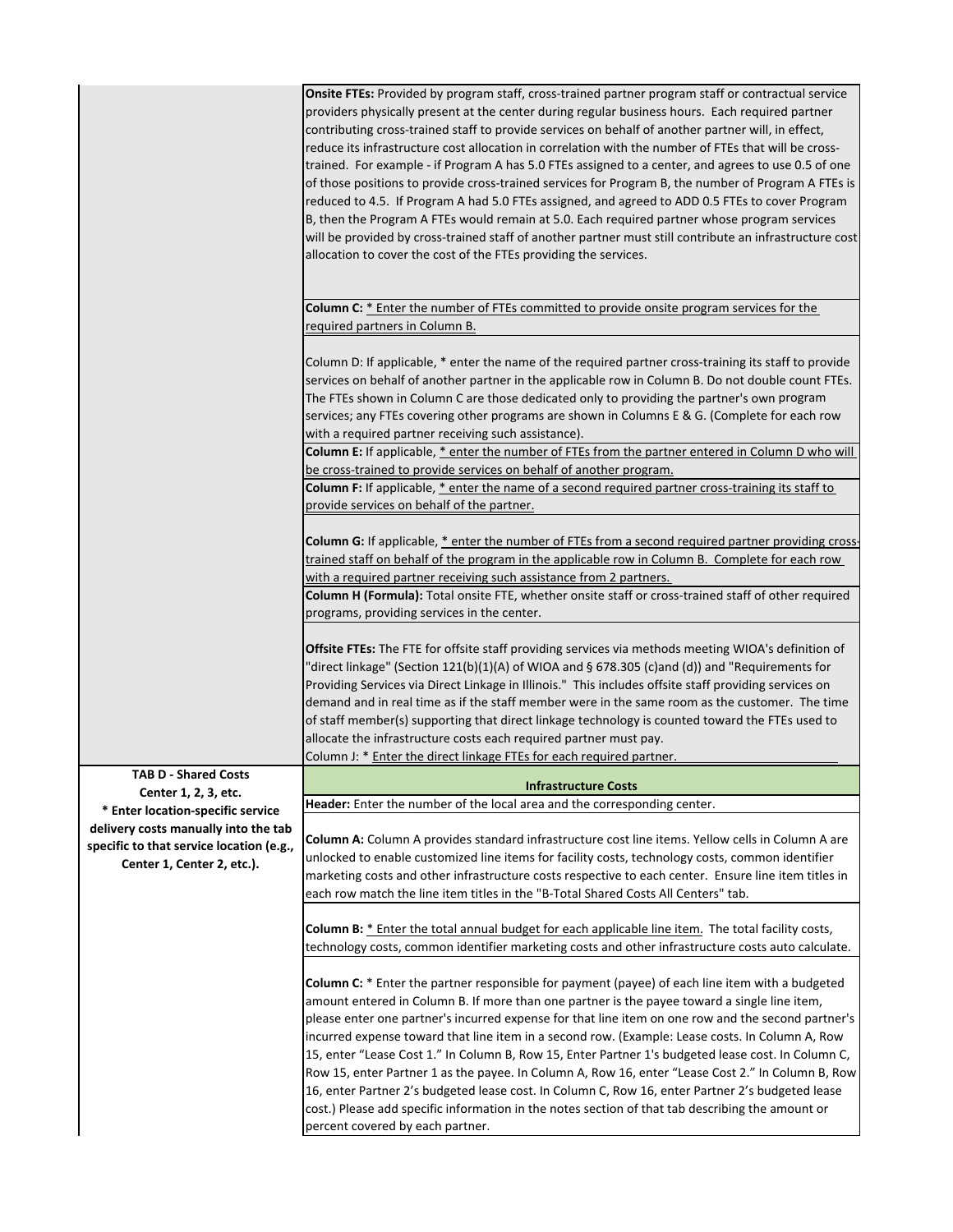|                                          | Onsite FTEs: Provided by program staff, cross-trained partner program staff or contractual service<br>providers physically present at the center during regular business hours. Each required partner<br>contributing cross-trained staff to provide services on behalf of another partner will, in effect,<br>reduce its infrastructure cost allocation in correlation with the number of FTEs that will be cross-<br>trained. For example - if Program A has 5.0 FTEs assigned to a center, and agrees to use 0.5 of one<br>of those positions to provide cross-trained services for Program B, the number of Program A FTEs is<br>reduced to 4.5. If Program A had 5.0 FTEs assigned, and agreed to ADD 0.5 FTEs to cover Program<br>B, then the Program A FTEs would remain at 5.0. Each required partner whose program services<br>will be provided by cross-trained staff of another partner must still contribute an infrastructure cost<br>allocation to cover the cost of the FTEs providing the services. |
|------------------------------------------|---------------------------------------------------------------------------------------------------------------------------------------------------------------------------------------------------------------------------------------------------------------------------------------------------------------------------------------------------------------------------------------------------------------------------------------------------------------------------------------------------------------------------------------------------------------------------------------------------------------------------------------------------------------------------------------------------------------------------------------------------------------------------------------------------------------------------------------------------------------------------------------------------------------------------------------------------------------------------------------------------------------------|
|                                          |                                                                                                                                                                                                                                                                                                                                                                                                                                                                                                                                                                                                                                                                                                                                                                                                                                                                                                                                                                                                                     |
|                                          | <b>Column C:</b> * Enter the number of FTEs committed to provide onsite program services for the                                                                                                                                                                                                                                                                                                                                                                                                                                                                                                                                                                                                                                                                                                                                                                                                                                                                                                                    |
|                                          | required partners in Column B.                                                                                                                                                                                                                                                                                                                                                                                                                                                                                                                                                                                                                                                                                                                                                                                                                                                                                                                                                                                      |
|                                          | Column D: If applicable, * enter the name of the required partner cross-training its staff to provide<br>services on behalf of another partner in the applicable row in Column B. Do not double count FTEs.<br>The FTEs shown in Column C are those dedicated only to providing the partner's own program<br>services; any FTEs covering other programs are shown in Columns E & G. (Complete for each row<br>with a required partner receiving such assistance).<br>Column E: If applicable, * enter the number of FTEs from the partner entered in Column D who will<br>be cross-trained to provide services on behalf of another program.                                                                                                                                                                                                                                                                                                                                                                        |
|                                          | Column F: If applicable, * enter the name of a second required partner cross-training its staff to                                                                                                                                                                                                                                                                                                                                                                                                                                                                                                                                                                                                                                                                                                                                                                                                                                                                                                                  |
|                                          |                                                                                                                                                                                                                                                                                                                                                                                                                                                                                                                                                                                                                                                                                                                                                                                                                                                                                                                                                                                                                     |
|                                          | provide services on behalf of the partner.                                                                                                                                                                                                                                                                                                                                                                                                                                                                                                                                                                                                                                                                                                                                                                                                                                                                                                                                                                          |
|                                          |                                                                                                                                                                                                                                                                                                                                                                                                                                                                                                                                                                                                                                                                                                                                                                                                                                                                                                                                                                                                                     |
|                                          | <b>Column G:</b> If applicable, * enter the number of FTEs from a second required partner providing cross-                                                                                                                                                                                                                                                                                                                                                                                                                                                                                                                                                                                                                                                                                                                                                                                                                                                                                                          |
|                                          | trained staff on behalf of the program in the applicable row in Column B. Complete for each row                                                                                                                                                                                                                                                                                                                                                                                                                                                                                                                                                                                                                                                                                                                                                                                                                                                                                                                     |
|                                          | with a required partner receiving such assistance from 2 partners.                                                                                                                                                                                                                                                                                                                                                                                                                                                                                                                                                                                                                                                                                                                                                                                                                                                                                                                                                  |
|                                          | Column H (Formula): Total onsite FTE, whether onsite staff or cross-trained staff of other required                                                                                                                                                                                                                                                                                                                                                                                                                                                                                                                                                                                                                                                                                                                                                                                                                                                                                                                 |
|                                          | programs, providing services in the center.                                                                                                                                                                                                                                                                                                                                                                                                                                                                                                                                                                                                                                                                                                                                                                                                                                                                                                                                                                         |
|                                          | Offsite FTEs: The FTE for offsite staff providing services via methods meeting WIOA's definition of<br>"direct linkage" (Section 121(b)(1)(A) of WIOA and § 678.305 (c)and (d)) and "Requirements for<br>Providing Services via Direct Linkage in Illinois." This includes offsite staff providing services on<br>demand and in real time as if the staff member were in the same room as the customer. The time<br>of staff member(s) supporting that direct linkage technology is counted toward the FTEs used to<br>allocate the infrastructure costs each required partner must pay.<br>Column J: * Enter the direct linkage FTEs for each required partner.                                                                                                                                                                                                                                                                                                                                                    |
| <b>TAB D - Shared Costs</b>              |                                                                                                                                                                                                                                                                                                                                                                                                                                                                                                                                                                                                                                                                                                                                                                                                                                                                                                                                                                                                                     |
| Center 1, 2, 3, etc.                     | <b>Infrastructure Costs</b>                                                                                                                                                                                                                                                                                                                                                                                                                                                                                                                                                                                                                                                                                                                                                                                                                                                                                                                                                                                         |
| * Enter location-specific service        | Header: Enter the number of the local area and the corresponding center.                                                                                                                                                                                                                                                                                                                                                                                                                                                                                                                                                                                                                                                                                                                                                                                                                                                                                                                                            |
| delivery costs manually into the tab     |                                                                                                                                                                                                                                                                                                                                                                                                                                                                                                                                                                                                                                                                                                                                                                                                                                                                                                                                                                                                                     |
| specific to that service location (e.g., | Column A: Column A provides standard infrastructure cost line items. Yellow cells in Column A are                                                                                                                                                                                                                                                                                                                                                                                                                                                                                                                                                                                                                                                                                                                                                                                                                                                                                                                   |
| Center 1, Center 2, etc.).               | unlocked to enable customized line items for facility costs, technology costs, common identifier                                                                                                                                                                                                                                                                                                                                                                                                                                                                                                                                                                                                                                                                                                                                                                                                                                                                                                                    |
|                                          | marketing costs and other infrastructure costs respective to each center. Ensure line item titles in                                                                                                                                                                                                                                                                                                                                                                                                                                                                                                                                                                                                                                                                                                                                                                                                                                                                                                                |
|                                          | each row match the line item titles in the "B-Total Shared Costs All Centers" tab.                                                                                                                                                                                                                                                                                                                                                                                                                                                                                                                                                                                                                                                                                                                                                                                                                                                                                                                                  |
|                                          |                                                                                                                                                                                                                                                                                                                                                                                                                                                                                                                                                                                                                                                                                                                                                                                                                                                                                                                                                                                                                     |
|                                          | Column B: * Enter the total annual budget for each applicable line item. The total facility costs,                                                                                                                                                                                                                                                                                                                                                                                                                                                                                                                                                                                                                                                                                                                                                                                                                                                                                                                  |
|                                          | technology costs, common identifier marketing costs and other infrastructure costs auto calculate.                                                                                                                                                                                                                                                                                                                                                                                                                                                                                                                                                                                                                                                                                                                                                                                                                                                                                                                  |
|                                          |                                                                                                                                                                                                                                                                                                                                                                                                                                                                                                                                                                                                                                                                                                                                                                                                                                                                                                                                                                                                                     |
|                                          | Column C: * Enter the partner responsible for payment (payee) of each line item with a budgeted                                                                                                                                                                                                                                                                                                                                                                                                                                                                                                                                                                                                                                                                                                                                                                                                                                                                                                                     |
|                                          | amount entered in Column B. If more than one partner is the payee toward a single line item,                                                                                                                                                                                                                                                                                                                                                                                                                                                                                                                                                                                                                                                                                                                                                                                                                                                                                                                        |
|                                          | please enter one partner's incurred expense for that line item on one row and the second partner's                                                                                                                                                                                                                                                                                                                                                                                                                                                                                                                                                                                                                                                                                                                                                                                                                                                                                                                  |
|                                          | incurred expense toward that line item in a second row. (Example: Lease costs. In Column A, Row                                                                                                                                                                                                                                                                                                                                                                                                                                                                                                                                                                                                                                                                                                                                                                                                                                                                                                                     |
|                                          | 15, enter "Lease Cost 1." In Column B, Row 15, Enter Partner 1's budgeted lease cost. In Column C,                                                                                                                                                                                                                                                                                                                                                                                                                                                                                                                                                                                                                                                                                                                                                                                                                                                                                                                  |
|                                          |                                                                                                                                                                                                                                                                                                                                                                                                                                                                                                                                                                                                                                                                                                                                                                                                                                                                                                                                                                                                                     |
|                                          | Row 15, enter Partner 1 as the payee. In Column A, Row 16, enter "Lease Cost 2." In Column B, Row                                                                                                                                                                                                                                                                                                                                                                                                                                                                                                                                                                                                                                                                                                                                                                                                                                                                                                                   |
|                                          | 16, enter Partner 2's budgeted lease cost. In Column C, Row 16, enter Partner 2's budgeted lease                                                                                                                                                                                                                                                                                                                                                                                                                                                                                                                                                                                                                                                                                                                                                                                                                                                                                                                    |
|                                          | cost.) Please add specific information in the notes section of that tab describing the amount or                                                                                                                                                                                                                                                                                                                                                                                                                                                                                                                                                                                                                                                                                                                                                                                                                                                                                                                    |
|                                          | percent covered by each partner.                                                                                                                                                                                                                                                                                                                                                                                                                                                                                                                                                                                                                                                                                                                                                                                                                                                                                                                                                                                    |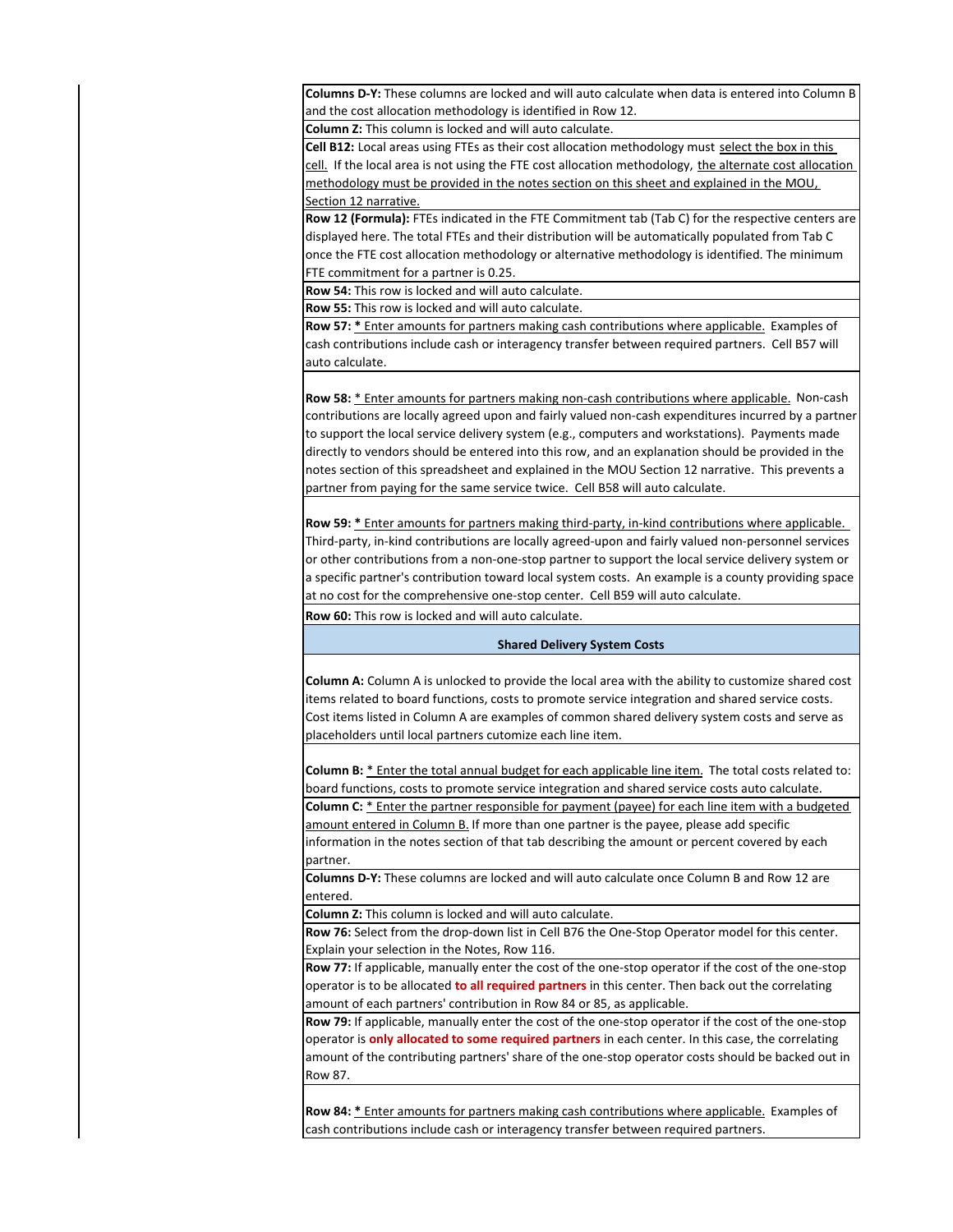**Columns D‐Y:** These columns are locked and will auto calculate when data is entered into Column B and the cost allocation methodology is identified in Row 12.

**Column Z:** This column is locked and will auto calculate.

**Cell B12:** Local areas using FTEs as their cost allocation methodology must select the box in this cell. If the local area is not using the FTE cost allocation methodology, the alternate cost allocation methodology must be provided in the notes section on this sheet and explained in the MOU, Section 12 narrative.

**Row 12 (Formula):** FTEs indicated in the FTE Commitment tab (Tab C) for the respective centers are displayed here. The total FTEs and their distribution will be automatically populated from Tab C once the FTE cost allocation methodology or alternative methodology is identified. The minimum FTE commitment for a partner is 0.25.

**Row 54:** This row is locked and will auto calculate.

**Row 55:** This row is locked and will auto calculate.

**Row 57: \*** Enter amounts for partners making cash contributions where applicable. Examples of cash contributions include cash or interagency transfer between required partners. Cell B57 will auto calculate.

**Row 58:** \* Enter amounts for partners making non‐cash contributions where applicable. Non‐cash contributions are locally agreed upon and fairly valued non‐cash expenditures incurred by a partner to support the local service delivery system (e.g., computers and workstations). Payments made directly to vendors should be entered into this row, and an explanation should be provided in the notes section of this spreadsheet and explained in the MOU Section 12 narrative. This prevents a partner from paying for the same service twice. Cell B58 will auto calculate.

**Row 59: \*** Enter amounts for partners making third‐party, in‐kind contributions where applicable. Third‐party, in‐kind contributions are locally agreed‐upon and fairly valued non‐personnel services or other contributions from a non‐one‐stop partner to support the local service delivery system or a specific partner's contribution toward local system costs. An example is a county providing space at no cost for the comprehensive one‐stop center. Cell B59 will auto calculate.

**Row 60:** This row is locked and will auto calculate.

### **Shared Delivery System Costs**

**Column A:** Column A is unlocked to provide the local area with the ability to customize shared cost items related to board functions, costs to promote service integration and shared service costs. Cost items listed in Column A are examples of common shared delivery system costs and serve as placeholders until local partners cutomize each line item.

**Column B:** \* Enter the total annual budget for each applicable line item. The total costs related to: board functions, costs to promote service integration and shared service costs auto calculate.

**Column C:** \* Enter the partner responsible for payment (payee) for each line item with a budgeted amount entered in Column B. If more than one partner is the payee, please add specific information in the notes section of that tab describing the amount or percent covered by each partner.

**Columns D‐Y:** These columns are locked and will auto calculate once Column B and Row 12 are entered.

**Column Z:** This column is locked and will auto calculate.

**Row 76:** Select from the drop‐down list in Cell B76 the One‐Stop Operator model for this center. Explain your selection in the Notes, Row 116.

**Row 77:** If applicable, manually enter the cost of the one‐stop operator if the cost of the one‐stop operator is to be allocated **to all required partners** in this center. Then back out the correlating amount of each partners' contribution in Row 84 or 85, as applicable.

**Row 79:** If applicable, manually enter the cost of the one‐stop operator if the cost of the one‐stop operator is **only allocated to some required partners** in each center. In this case, the correlating amount of the contributing partners' share of the one‐stop operator costs should be backed out in Row 87.

**Row 84: \*** Enter amounts for partners making cash contributions where applicable. Examples of cash contributions include cash or interagency transfer between required partners.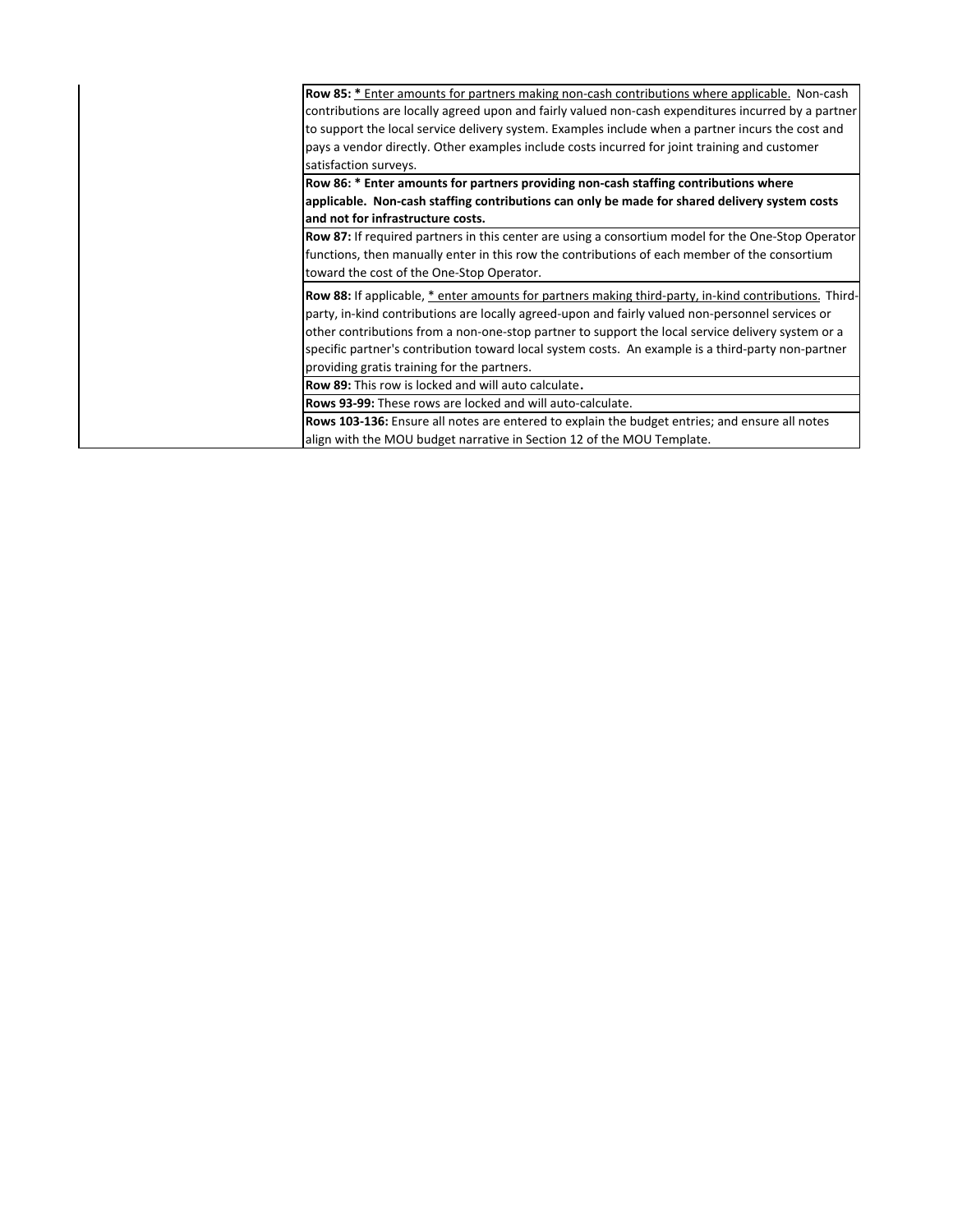|                                             | Row 85: * Enter amounts for partners making non-cash contributions where applicable. Non-cash         |
|---------------------------------------------|-------------------------------------------------------------------------------------------------------|
|                                             | contributions are locally agreed upon and fairly valued non-cash expenditures incurred by a partner   |
|                                             | to support the local service delivery system. Examples include when a partner incurs the cost and     |
|                                             | pays a vendor directly. Other examples include costs incurred for joint training and customer         |
| satisfaction surveys.                       |                                                                                                       |
|                                             | Row 86: * Enter amounts for partners providing non-cash staffing contributions where                  |
|                                             | applicable. Non-cash staffing contributions can only be made for shared delivery system costs         |
| and not for infrastructure costs.           |                                                                                                       |
|                                             | Row 87: If required partners in this center are using a consortium model for the One-Stop Operator    |
|                                             | functions, then manually enter in this row the contributions of each member of the consortium         |
| toward the cost of the One-Stop Operator.   |                                                                                                       |
|                                             | Row 88: If applicable, * enter amounts for partners making third-party, in-kind contributions. Third- |
|                                             | party, in-kind contributions are locally agreed-upon and fairly valued non-personnel services or      |
|                                             | other contributions from a non-one-stop partner to support the local service delivery system or a     |
|                                             | specific partner's contribution toward local system costs. An example is a third-party non-partner    |
| providing gratis training for the partners. |                                                                                                       |
|                                             | <b>Row 89:</b> This row is locked and will auto calculate.                                            |
|                                             | Rows 93-99: These rows are locked and will auto-calculate.                                            |
|                                             | Rows 103-136: Ensure all notes are entered to explain the budget entries; and ensure all notes        |
|                                             | align with the MOU budget narrative in Section 12 of the MOU Template.                                |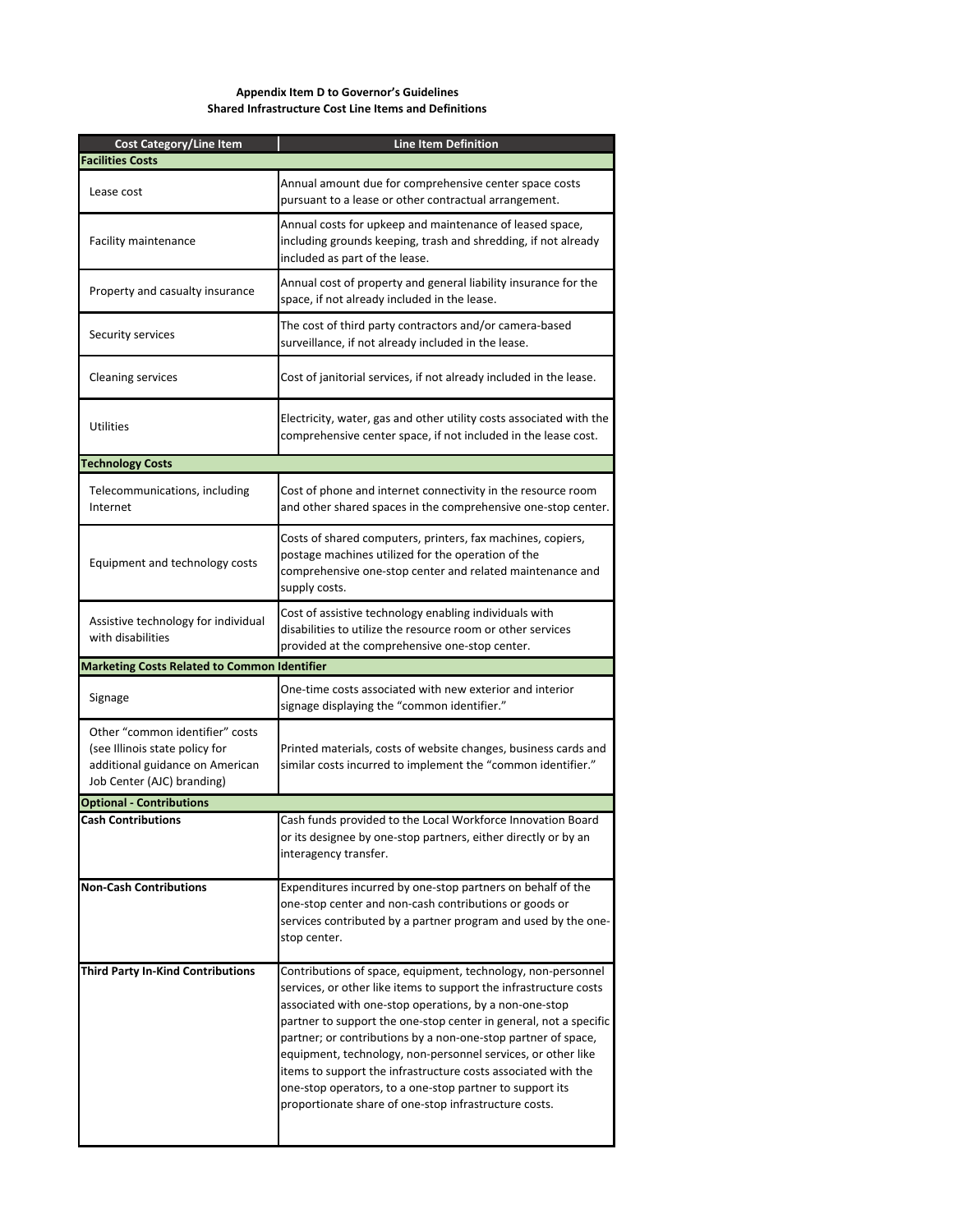# **Appendix Item D to Governor's Guidelines Shared Infrastructure Cost Line Items and Definitions**

| <b>Cost Category/Line Item</b>                                                                                                     | Line Item Definition                                                                                                                                                                                                                                                                                                                                                                                                                                                                                                                                                                    |
|------------------------------------------------------------------------------------------------------------------------------------|-----------------------------------------------------------------------------------------------------------------------------------------------------------------------------------------------------------------------------------------------------------------------------------------------------------------------------------------------------------------------------------------------------------------------------------------------------------------------------------------------------------------------------------------------------------------------------------------|
| <b>Facilities Costs</b>                                                                                                            |                                                                                                                                                                                                                                                                                                                                                                                                                                                                                                                                                                                         |
| Lease cost                                                                                                                         | Annual amount due for comprehensive center space costs<br>pursuant to a lease or other contractual arrangement.                                                                                                                                                                                                                                                                                                                                                                                                                                                                         |
| <b>Facility maintenance</b>                                                                                                        | Annual costs for upkeep and maintenance of leased space,<br>including grounds keeping, trash and shredding, if not already<br>included as part of the lease.                                                                                                                                                                                                                                                                                                                                                                                                                            |
| Property and casualty insurance                                                                                                    | Annual cost of property and general liability insurance for the<br>space, if not already included in the lease.                                                                                                                                                                                                                                                                                                                                                                                                                                                                         |
| Security services                                                                                                                  | The cost of third party contractors and/or camera-based<br>surveillance, if not already included in the lease.                                                                                                                                                                                                                                                                                                                                                                                                                                                                          |
| <b>Cleaning services</b>                                                                                                           | Cost of janitorial services, if not already included in the lease.                                                                                                                                                                                                                                                                                                                                                                                                                                                                                                                      |
| Utilities                                                                                                                          | Electricity, water, gas and other utility costs associated with the<br>comprehensive center space, if not included in the lease cost.                                                                                                                                                                                                                                                                                                                                                                                                                                                   |
| <b>Technology Costs</b>                                                                                                            |                                                                                                                                                                                                                                                                                                                                                                                                                                                                                                                                                                                         |
| Telecommunications, including<br>Internet                                                                                          | Cost of phone and internet connectivity in the resource room<br>and other shared spaces in the comprehensive one-stop center.                                                                                                                                                                                                                                                                                                                                                                                                                                                           |
| Equipment and technology costs                                                                                                     | Costs of shared computers, printers, fax machines, copiers,<br>postage machines utilized for the operation of the<br>comprehensive one-stop center and related maintenance and<br>supply costs.                                                                                                                                                                                                                                                                                                                                                                                         |
| Assistive technology for individual<br>with disabilities                                                                           | Cost of assistive technology enabling individuals with<br>disabilities to utilize the resource room or other services<br>provided at the comprehensive one-stop center.                                                                                                                                                                                                                                                                                                                                                                                                                 |
| <b>Marketing Costs Related to Common Identifier</b>                                                                                |                                                                                                                                                                                                                                                                                                                                                                                                                                                                                                                                                                                         |
| Signage                                                                                                                            | One-time costs associated with new exterior and interior<br>signage displaying the "common identifier."                                                                                                                                                                                                                                                                                                                                                                                                                                                                                 |
| Other "common identifier" costs<br>(see Illinois state policy for<br>additional guidance on American<br>Job Center (AJC) branding) | Printed materials, costs of website changes, business cards and<br>similar costs incurred to implement the "common identifier."                                                                                                                                                                                                                                                                                                                                                                                                                                                         |
| <b>Optional - Contributions</b>                                                                                                    |                                                                                                                                                                                                                                                                                                                                                                                                                                                                                                                                                                                         |
| <b>Cash Contributions</b>                                                                                                          | Cash funds provided to the Local Workforce Innovation Board<br>or its designee by one-stop partners, either directly or by an<br>interagency transfer.                                                                                                                                                                                                                                                                                                                                                                                                                                  |
| <b>Non-Cash Contributions</b>                                                                                                      | Expenditures incurred by one-stop partners on behalf of the<br>one-stop center and non-cash contributions or goods or<br>services contributed by a partner program and used by the one-<br>stop center.                                                                                                                                                                                                                                                                                                                                                                                 |
| <b>Third Party In-Kind Contributions</b>                                                                                           | Contributions of space, equipment, technology, non-personnel<br>services, or other like items to support the infrastructure costs<br>associated with one-stop operations, by a non-one-stop<br>partner to support the one-stop center in general, not a specific<br>partner; or contributions by a non-one-stop partner of space,<br>equipment, technology, non-personnel services, or other like<br>items to support the infrastructure costs associated with the<br>one-stop operators, to a one-stop partner to support its<br>proportionate share of one-stop infrastructure costs. |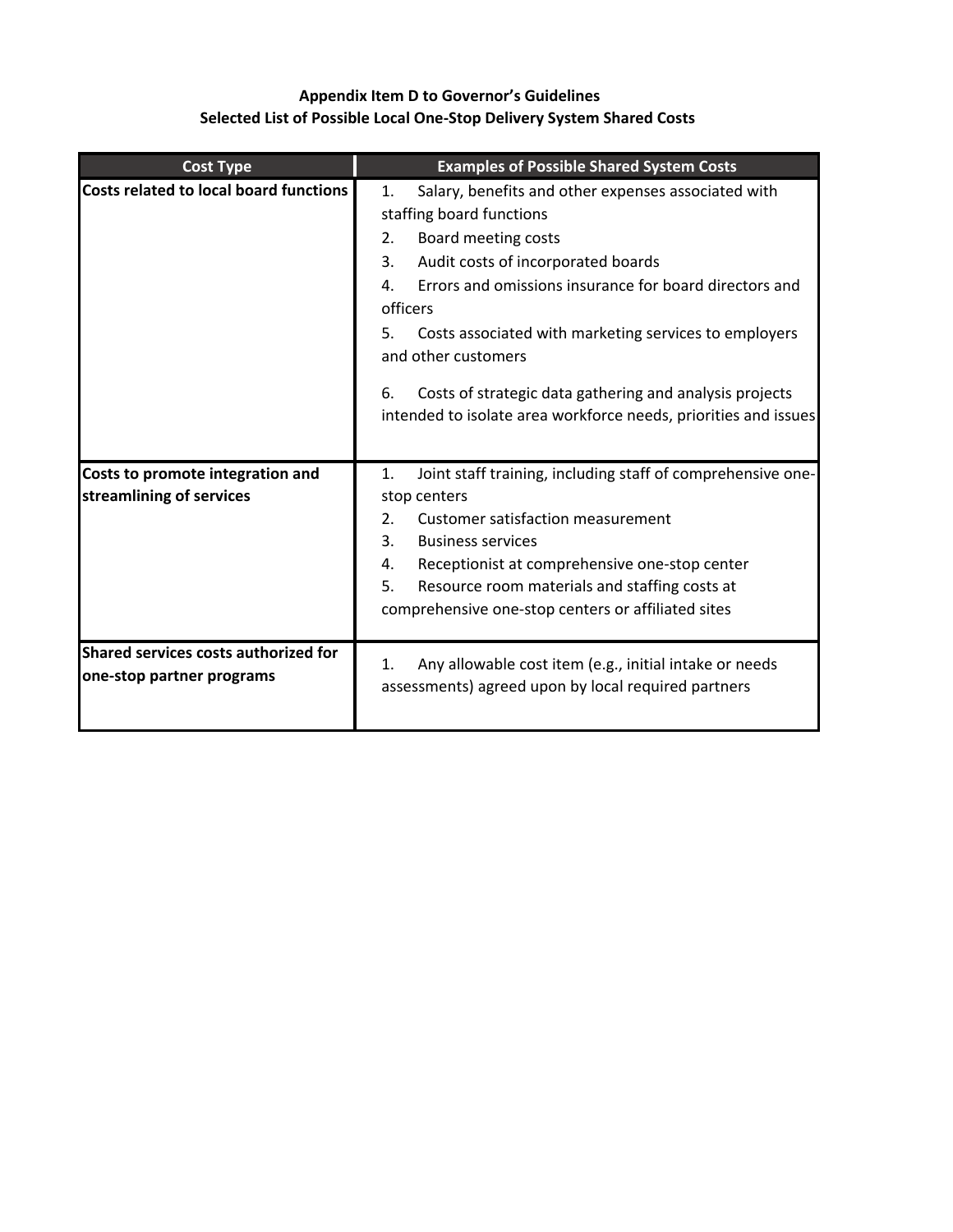# **Appendix Item D to Governor's Guidelines Selected List of Possible Local One‐Stop Delivery System Shared Costs**

| <b>Cost Type</b>                                                  | <b>Examples of Possible Shared System Costs</b>                                                                                                                                                                                                                                                                                                                                                                                                                      |
|-------------------------------------------------------------------|----------------------------------------------------------------------------------------------------------------------------------------------------------------------------------------------------------------------------------------------------------------------------------------------------------------------------------------------------------------------------------------------------------------------------------------------------------------------|
| <b>Costs related to local board functions</b>                     | Salary, benefits and other expenses associated with<br>1.<br>staffing board functions<br>Board meeting costs<br>2.<br>3.<br>Audit costs of incorporated boards<br>Errors and omissions insurance for board directors and<br>4.<br>officers<br>Costs associated with marketing services to employers<br>5.<br>and other customers<br>Costs of strategic data gathering and analysis projects<br>6.<br>intended to isolate area workforce needs, priorities and issues |
| Costs to promote integration and<br>streamlining of services      | Joint staff training, including staff of comprehensive one-<br>1.<br>stop centers<br>Customer satisfaction measurement<br>$\mathfrak{D}$ .<br>3.<br><b>Business services</b><br>Receptionist at comprehensive one-stop center<br>4.<br>5.<br>Resource room materials and staffing costs at<br>comprehensive one-stop centers or affiliated sites                                                                                                                     |
| Shared services costs authorized for<br>one-stop partner programs | Any allowable cost item (e.g., initial intake or needs<br>1.<br>assessments) agreed upon by local required partners                                                                                                                                                                                                                                                                                                                                                  |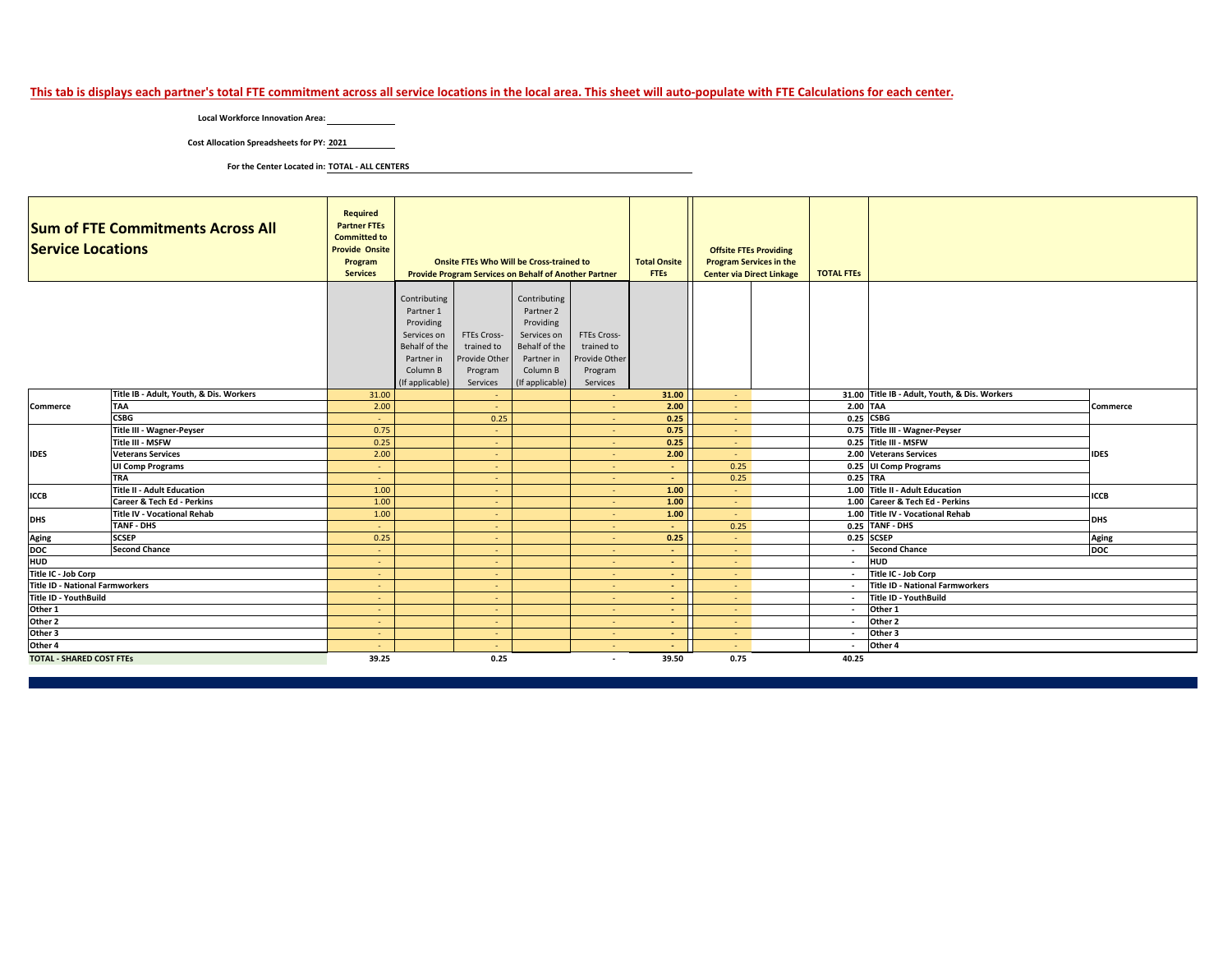#### <u>This tab is displays each partner's total FTE commitment across all service locations in the local area. This sheet will auto-populate with FTE Calculations for each center.</u>

#### **Local Workforce Innovation Area:**

**Cost Allocation Spreadsheets for PY: 2021**  $\sim$  100  $\mu$ 

**For the Center Located in: TOTAL ‐ ALL CENTERS**

| <b>Service Locations</b>               | <b>Sum of FTE Commitments Across All</b> | Required<br><b>Partner FTEs</b><br><b>Committed to</b><br><b>Provide Onsite</b><br>Program<br><b>Services</b> |                                                                                                                     | <b>Onsite FTEs Who Will be Cross-trained to</b><br><b>Provide Program Services on Behalf of Another Partner</b> |                                                                                                                     |                                                                          | <b>Total Onsite</b><br><b>FTEs</b> | <b>Offsite FTEs Providing</b><br><b>Program Services in the</b><br><b>Center via Direct Linkage</b> | <b>TOTAL FTES</b>        |                                               |             |
|----------------------------------------|------------------------------------------|---------------------------------------------------------------------------------------------------------------|---------------------------------------------------------------------------------------------------------------------|-----------------------------------------------------------------------------------------------------------------|---------------------------------------------------------------------------------------------------------------------|--------------------------------------------------------------------------|------------------------------------|-----------------------------------------------------------------------------------------------------|--------------------------|-----------------------------------------------|-------------|
|                                        |                                          |                                                                                                               | Contributing<br>Partner 1<br>Providing<br>Services on<br>Behalf of the<br>Partner in<br>Column B<br>(If applicable) | FTEs Cross-<br>trained to<br>Provide Other<br>Program<br>Services                                               | Contributing<br>Partner 2<br>Providing<br>Services on<br>Behalf of the<br>Partner in<br>Column B<br>(If applicable) | <b>FTEs Cross-</b><br>trained to<br>Provide Other<br>Program<br>Services |                                    |                                                                                                     |                          |                                               |             |
|                                        | Title IB - Adult, Youth, & Dis. Workers  | 31.00                                                                                                         |                                                                                                                     |                                                                                                                 |                                                                                                                     | <b>COL</b>                                                               | 31.00                              | $\sim$                                                                                              |                          | 31.00 Title IB - Adult, Youth, & Dis. Workers |             |
| Commerce                               | <b>TAA</b>                               | 2.00                                                                                                          |                                                                                                                     | $\sim$                                                                                                          |                                                                                                                     | <b>COL</b>                                                               | 2.00                               | $\sim$                                                                                              | 2.00 TAA                 |                                               | Commerce    |
|                                        | <b>CSBG</b>                              |                                                                                                               |                                                                                                                     | 0.25                                                                                                            |                                                                                                                     |                                                                          | 0.25                               | $\sim$                                                                                              |                          | 0.25 CSBG                                     |             |
|                                        | <b>Title III - Wagner-Peyser</b>         | 0.75                                                                                                          |                                                                                                                     | $\sim$                                                                                                          |                                                                                                                     | <b>COL</b>                                                               | 0.75                               | $\sim$                                                                                              |                          | 0.75 Title III - Wagner-Peyser                |             |
|                                        | Title III - MSFW                         | 0.25                                                                                                          |                                                                                                                     | $\sim$                                                                                                          |                                                                                                                     |                                                                          | 0.25                               | $\sim$                                                                                              |                          | 0.25 Title III - MSFW                         |             |
| <b>IDES</b>                            | <b>Veterans Services</b>                 | 2.00                                                                                                          |                                                                                                                     | <b>COL</b>                                                                                                      |                                                                                                                     |                                                                          | 2.00                               | <b>Section</b>                                                                                      |                          | 2.00 Veterans Services                        | <b>IDES</b> |
|                                        | <b>UI Comp Programs</b>                  |                                                                                                               |                                                                                                                     | $\sim$                                                                                                          |                                                                                                                     | $\sim$                                                                   | $\sim$                             | 0.25                                                                                                |                          | 0.25 UI Comp Programs                         |             |
|                                        | <b>TRA</b>                               | $\sim$                                                                                                        |                                                                                                                     | <b>COL</b>                                                                                                      |                                                                                                                     | $\sim$                                                                   | $\sim$ 10 $\pm$                    | 0.25                                                                                                | 0.25 TRA                 |                                               |             |
| <b>ICCB</b>                            | <b>Title II - Adult Education</b>        | 1.00                                                                                                          |                                                                                                                     | $\sim$                                                                                                          |                                                                                                                     | $\sim$                                                                   | 1.00                               | $\sim$                                                                                              |                          | 1.00 Title II - Adult Education               | ICCB        |
|                                        | <b>Career &amp; Tech Ed - Perkins</b>    | 1.00                                                                                                          |                                                                                                                     | $\sim$                                                                                                          |                                                                                                                     |                                                                          | 1.00                               | $\sim$                                                                                              |                          | 1.00 Career & Tech Ed - Perkins               |             |
| <b>DHS</b>                             | <b>Title IV - Vocational Rehab</b>       | 1.00                                                                                                          |                                                                                                                     | $\sim$                                                                                                          |                                                                                                                     |                                                                          | 1.00                               | <b>Section</b>                                                                                      |                          | 1.00 Title IV - Vocational Rehab              | <b>DHS</b>  |
|                                        | <b>TANF - DHS</b>                        |                                                                                                               |                                                                                                                     | $\sim$                                                                                                          |                                                                                                                     |                                                                          | <b>Section</b>                     | 0.25                                                                                                |                          | 0.25 TANF - DHS                               |             |
| Aging                                  | <b>SCSEP</b>                             | 0.25                                                                                                          |                                                                                                                     | <b>COL</b>                                                                                                      |                                                                                                                     |                                                                          | 0.25                               | <b>Section</b>                                                                                      |                          | 0.25 SCSEP                                    | Aging       |
| <b>DOC</b>                             | <b>Second Chance</b>                     |                                                                                                               |                                                                                                                     |                                                                                                                 |                                                                                                                     |                                                                          | $\sim$                             |                                                                                                     |                          | <b>Second Chance</b>                          | <b>DOC</b>  |
| <b>HUD</b>                             |                                          |                                                                                                               |                                                                                                                     | <b>COL</b>                                                                                                      |                                                                                                                     |                                                                          | $\sim$                             | $\sim$                                                                                              | $\overline{\phantom{a}}$ | <b>HUD</b>                                    |             |
| Title IC - Job Corp                    |                                          |                                                                                                               |                                                                                                                     | $\sim$                                                                                                          |                                                                                                                     |                                                                          | $\sim$                             | $\sim$                                                                                              | $\overline{\phantom{a}}$ | Title IC - Job Corp                           |             |
| <b>Title ID - National Farmworkers</b> |                                          | $\sim$                                                                                                        |                                                                                                                     | $\sim$                                                                                                          |                                                                                                                     | $\sim$                                                                   | $\sim$                             | $\sim$                                                                                              | $\overline{\phantom{a}}$ | <b>Title ID - National Farmworkers</b>        |             |
| Title ID - YouthBuild                  |                                          |                                                                                                               |                                                                                                                     |                                                                                                                 |                                                                                                                     |                                                                          | <b>Section</b>                     | $\sim$                                                                                              |                          | Title ID - YouthBuild                         |             |
| Other 1                                |                                          | $\sim$                                                                                                        |                                                                                                                     | $\sim$                                                                                                          |                                                                                                                     |                                                                          | <b>Section</b>                     | $\sim$                                                                                              |                          | Other 1                                       |             |
| Other 2                                |                                          |                                                                                                               |                                                                                                                     |                                                                                                                 |                                                                                                                     |                                                                          | $\sim$                             |                                                                                                     |                          | Other 2                                       |             |
| Other 3                                |                                          |                                                                                                               |                                                                                                                     | $\sim$                                                                                                          |                                                                                                                     | $\sim$                                                                   | <b>Section</b>                     | $\sim$                                                                                              | $\overline{\phantom{a}}$ | Other 3                                       |             |
| Other 4                                |                                          |                                                                                                               |                                                                                                                     |                                                                                                                 |                                                                                                                     | $\sim$                                                                   | <b>Section</b>                     | $\sim$                                                                                              | $\overline{\phantom{a}}$ | Other 4                                       |             |
| <b>TOTAL - SHARED COST FTES</b>        |                                          | 39.25                                                                                                         |                                                                                                                     | 0.25                                                                                                            |                                                                                                                     |                                                                          | 39.50                              | 0.75                                                                                                | 40.25                    |                                               |             |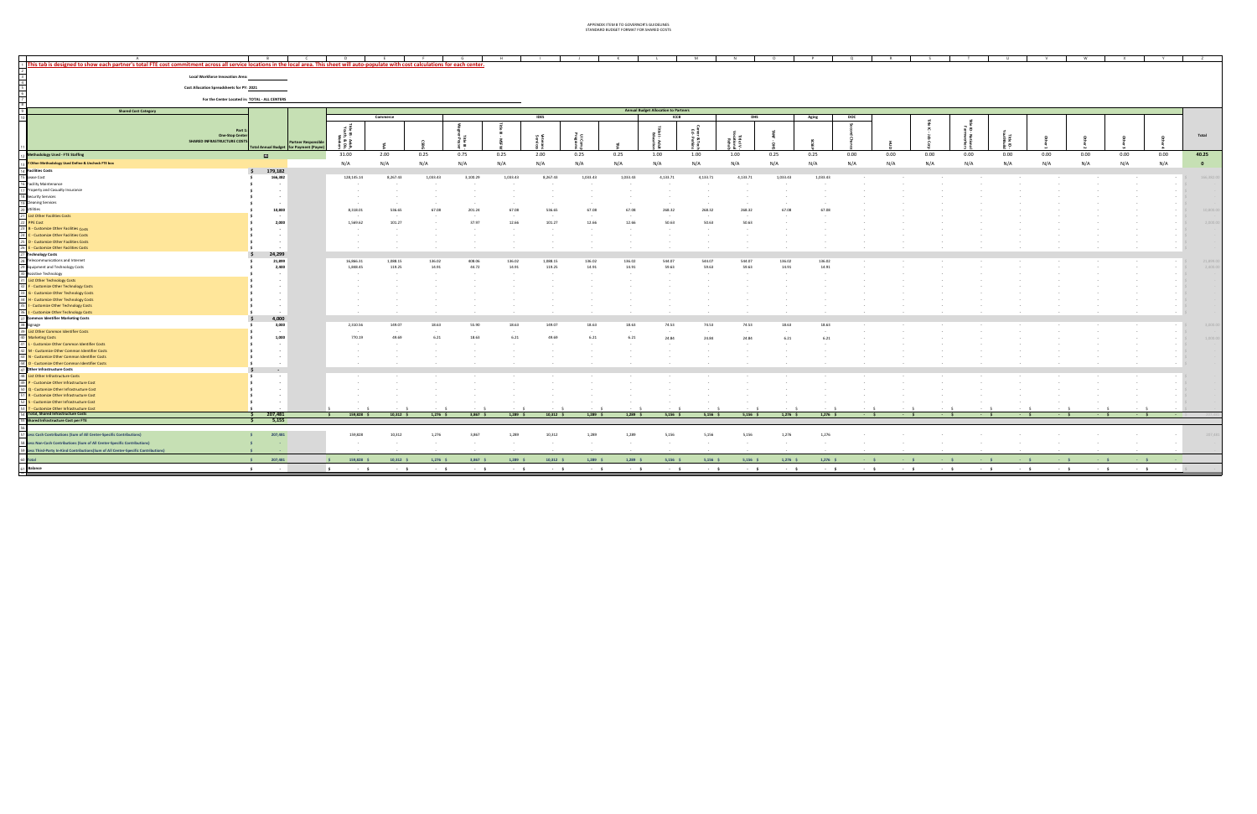$\overline{\phantom{a}}$ 

| 1 This tab is designed to show each partner's total FTE cost commitment across all service locations in the local area. This sheet will auto-populate with cost calculations for each center. |                                                                              |                                                  |                          |             |               |                 |            |               |          |            |                                             |                 |                        |               |               |               |      |               |      |               |          |               |      |        |           |
|-----------------------------------------------------------------------------------------------------------------------------------------------------------------------------------------------|------------------------------------------------------------------------------|--------------------------------------------------|--------------------------|-------------|---------------|-----------------|------------|---------------|----------|------------|---------------------------------------------|-----------------|------------------------|---------------|---------------|---------------|------|---------------|------|---------------|----------|---------------|------|--------|-----------|
|                                                                                                                                                                                               | Local Workforce Innovation Area:<br><u> Local Workforce Innovation Area:</u> |                                                  |                          |             |               |                 |            |               |          |            |                                             |                 |                        |               |               |               |      |               |      |               |          |               |      |        |           |
|                                                                                                                                                                                               | Cost Allocation Spreadsheets for PY: 2021                                    |                                                  |                          |             |               |                 |            |               |          |            |                                             |                 |                        |               |               |               |      |               |      |               |          |               |      |        |           |
|                                                                                                                                                                                               |                                                                              |                                                  |                          |             |               |                 |            |               |          |            |                                             |                 |                        |               |               |               |      |               |      |               |          |               |      |        |           |
|                                                                                                                                                                                               | For the Center Located in: TOTAL - ALL CENTERS                               |                                                  |                          |             |               |                 |            |               |          |            |                                             |                 |                        |               |               |               |      |               |      |               |          |               |      |        |           |
| <b>Shared Cost Category</b>                                                                                                                                                                   |                                                                              |                                                  |                          |             |               |                 |            |               |          |            | <b>Annual Budget Allocation to Partners</b> |                 |                        |               |               |               |      |               |      |               |          |               |      |        |           |
|                                                                                                                                                                                               |                                                                              |                                                  |                          | Commerce    |               |                 |            | <b>IDES</b>   |          |            | <b>ICCB</b>                                 |                 | <b>DHS</b>             |               | Aging         | DOC           |      |               |      |               |          |               |      |        |           |
|                                                                                                                                                                                               |                                                                              |                                                  |                          |             |               |                 |            |               |          |            |                                             |                 |                        |               |               |               |      |               |      |               |          |               |      |        |           |
|                                                                                                                                                                                               | Part 1<br><b>One-Stop Center</b>                                             |                                                  | iae<br>Bouth<br>P        |             |               |                 |            |               |          |            |                                             | 플루              |                        |               |               |               |      |               |      |               |          |               |      |        | Total     |
|                                                                                                                                                                                               | SHARED INFRASTRUCTURE COSTS                                                  | <b>Partner Responsible</b>                       | Adult<br>& Dis<br>Griker |             |               |                 |            |               |          |            |                                             | פ קי            | <b>Life</b><br>Boating |               |               |               |      |               |      |               |          |               |      |        |           |
|                                                                                                                                                                                               |                                                                              | <b>Total Annual Budget   for Payment (Payee)</b> |                          |             |               |                 |            |               |          |            |                                             |                 |                        |               |               |               |      |               |      |               |          |               |      |        |           |
| <b>Methodology Used - FTE Staffing</b>                                                                                                                                                        |                                                                              | 回                                                | 31.00                    | 2.00        | 0.25          | 0.75            | 0.25       | 2.00          | 0.25     | 0.25       | 1.00                                        | 1.00            | 1.00                   | 0.25          | 0.25          | 0.00          | 0.00 | 0.00          | 0.00 | 0.00          | 0.00     | 0.00          | 0.00 | 0.00   | 40.25     |
| If Other Methodology Used Define & Uncheck FTE box                                                                                                                                            |                                                                              |                                                  | N/A                      | N/A         | N/A           | N/A             | N/A        | N/A           | N/A      | N/A        | N/A                                         | N/A             | N/A                    | N/A           | N/A           | N/A           | N/A  | N/A           | N/A  | N/A           | N/A      | N/A           | N/A  | N/A    | $\bullet$ |
| 14 Facilities Costs                                                                                                                                                                           |                                                                              | \$ 179,182                                       |                          |             |               |                 |            |               |          |            |                                             |                 |                        |               |               |               |      |               |      |               |          |               |      |        |           |
| 5 Lease Cost                                                                                                                                                                                  |                                                                              | 166,382                                          | 128,145.14               | 8,267.43    | 1,033.43      | 3,100.29        | 1,033.43   | 8,267.43      | 1,033.43 | 1,033.43   | 4,133.71                                    | 4,133.71        | 4,133.71               | 1,033.43      | 1,033.43      |               |      |               |      |               |          |               |      |        | 166,382.0 |
| 16 Facility Maintenance                                                                                                                                                                       |                                                                              |                                                  |                          |             |               |                 |            |               |          |            |                                             |                 |                        |               |               |               |      |               |      |               |          |               |      |        |           |
| 17 Property and Casualty Insurance<br>18 Security Services<br>19 Cleaning Services                                                                                                            |                                                                              |                                                  | $\sim$                   |             |               | $\sim$          |            |               |          |            | $\sim$                                      |                 |                        |               |               |               |      |               |      |               |          |               |      |        |           |
|                                                                                                                                                                                               |                                                                              |                                                  |                          |             |               |                 |            |               |          |            |                                             |                 |                        |               |               |               |      |               |      |               |          |               |      |        |           |
|                                                                                                                                                                                               |                                                                              |                                                  | $\sim$                   |             |               | $\sim$          |            |               |          |            | $\sim$                                      |                 |                        |               |               |               |      |               |      |               |          |               |      |        |           |
| 20 Utilities                                                                                                                                                                                  |                                                                              | 10,800                                           | 8,318.01                 | 536.65      | 67.08         | 201.24          | 67.08      | 536.65        | 67.08    | 67.08      | 268.32<br>$\sim$                            | 268.32          | 268.32                 | 67.08         | 67.08         |               |      |               |      |               |          |               |      |        | 10,800.   |
| 21 List Other Facilities Costs<br>22 PPE Cost                                                                                                                                                 |                                                                              | 2,000                                            | 1,569.62                 | 101.27      |               | 37.97           | 12.66      | 101.27        | 12.66    | 12.66      | 50.63                                       | 50.63           | 50.63                  |               |               |               |      |               |      |               |          |               |      |        | 2,000.0   |
| 23 B - Customize Other Facilities Costs                                                                                                                                                       |                                                                              |                                                  |                          |             |               | $\sim$          |            |               |          |            | $\sim$                                      |                 |                        |               |               |               |      |               |      |               |          |               |      |        |           |
| 24 C - Customize Other Facilities Costs                                                                                                                                                       |                                                                              |                                                  | $\sim$                   |             |               |                 |            |               |          |            |                                             |                 |                        |               |               |               |      |               |      |               |          |               |      |        |           |
|                                                                                                                                                                                               |                                                                              |                                                  |                          |             |               |                 |            |               |          |            |                                             |                 |                        |               |               |               |      |               |      |               |          |               |      |        |           |
| 25 D - Customize Other Facilities Costs<br>26 E - Customize Other Facilities Costs                                                                                                            |                                                                              |                                                  |                          |             |               |                 |            |               |          |            |                                             |                 |                        |               |               |               |      |               |      |               |          |               |      |        |           |
| 27 Technology Costs                                                                                                                                                                           |                                                                              | 24,299                                           |                          |             |               |                 |            |               |          |            |                                             |                 |                        |               |               |               |      |               |      |               |          |               |      |        |           |
| 28 Telecommunications and Internet<br>29 Equipment and Technology Costs<br>30 Assistive Technology                                                                                            |                                                                              | 21,899                                           | 16,866.31                | 1,088.15    | 136.02        | 408.06          | 136.02     | 1,088.15      | 136.02   | 136.02     | 544.07                                      | 544.07          | 544.07                 | 136.02        | 136.02        |               |      |               |      |               |          |               |      |        | 21,899.0  |
|                                                                                                                                                                                               |                                                                              | 2,400                                            | 1,848.45                 | 119.25      | 14.91         | 44.72           | 14.91      | 119.25        | 14.91    | 14.91      | 59.63                                       | 59.63           | 59.63                  | 14.91         | 14.91         |               |      |               |      |               |          |               |      |        | 2,400.0   |
|                                                                                                                                                                                               |                                                                              |                                                  |                          |             |               | $\sim$          |            |               |          |            | $\sim$                                      |                 |                        |               |               |               |      |               |      |               |          |               |      |        |           |
| 31 List Other Technology Costs<br>32 F - Customize Other Technology Costs                                                                                                                     |                                                                              |                                                  |                          |             |               |                 |            |               |          |            |                                             |                 |                        |               |               |               |      |               |      |               |          |               |      |        |           |
| 33 G - Customize Other Technology Costs                                                                                                                                                       |                                                                              |                                                  |                          |             |               |                 |            |               |          |            |                                             |                 |                        |               |               |               |      |               |      |               |          |               |      |        |           |
| 34 H - Customize Other Technology Costs                                                                                                                                                       |                                                                              | <b>Contract</b>                                  | $\sim$                   |             |               |                 |            |               |          |            |                                             |                 |                        |               |               |               |      |               |      |               |          |               |      |        |           |
| 35   I - Customize Other Technology Costs                                                                                                                                                     |                                                                              | $\sim 100$                                       | $\sim$                   |             |               |                 |            |               |          |            |                                             |                 |                        |               |               |               |      |               |      |               |          |               |      |        |           |
| 35 J - Customize Other Technology Costs<br>37 Common Identifier Marketing Costs                                                                                                               |                                                                              |                                                  |                          |             |               |                 |            |               |          |            |                                             |                 |                        |               |               |               |      |               |      |               |          |               |      |        |           |
|                                                                                                                                                                                               |                                                                              | 4,000                                            |                          |             |               |                 |            |               |          |            |                                             |                 |                        |               |               |               |      |               |      |               |          |               |      |        |           |
| 38 Signage                                                                                                                                                                                    |                                                                              | 3,000                                            | 2,310.56                 | 149.07      | 18.63         | 55.90           | 18.63      | 149.07        | 18.63    | 18.63      | 74.53                                       | 74.53           | 74.53                  | 18.63         | 18.63         |               |      |               |      |               |          |               |      |        | 3,000.    |
| 39 List Other Common Identifier Costs                                                                                                                                                         |                                                                              |                                                  |                          |             |               | $\sim$          |            | $\sim$        |          |            | $\sim$                                      | $\sim$          |                        |               |               |               |      |               |      |               |          |               |      |        |           |
| 40 Marketing Costs<br>L - Customize Other Common Identifier Costs                                                                                                                             |                                                                              | 1,000                                            | 770.19<br>$\sim$         | 49.69       | 6.21          | 18.63<br>$\sim$ | 6.21       | 49.69         | 6.21     | 6.21       | 24.84<br>$\sim$                             | 24.84<br>$\sim$ | 24.84                  | 6.21          | 6.21          |               |      |               |      |               |          |               |      |        | 1,000.0   |
| 42 M - Customize Other Common Identifier Costs                                                                                                                                                |                                                                              |                                                  | $\sim$                   |             |               |                 |            |               |          |            |                                             |                 |                        |               |               |               |      |               |      |               |          |               |      |        |           |
| 43 N - Customize Other Common Identifier Costs                                                                                                                                                |                                                                              | $\sim$ 100 $\mu$                                 | $\sim$                   |             |               |                 |            |               |          |            |                                             |                 |                        |               |               |               |      |               |      |               |          |               |      |        |           |
| 44 O - Customize Other Common Identifier Costs                                                                                                                                                |                                                                              |                                                  |                          |             |               |                 |            |               |          |            |                                             |                 |                        |               |               |               |      |               |      |               |          |               |      |        |           |
| 47 Other Infrastructure Costs                                                                                                                                                                 |                                                                              |                                                  |                          |             |               |                 |            |               |          |            |                                             |                 |                        |               |               |               |      |               |      |               |          |               |      |        |           |
| 48 List Other Infrastructure Costs                                                                                                                                                            |                                                                              |                                                  | $\sim$                   |             |               |                 |            |               |          |            |                                             |                 |                        |               |               |               |      |               |      |               |          |               |      |        |           |
| 49 P - Customize Other Infrastructure Cost                                                                                                                                                    |                                                                              |                                                  |                          |             |               |                 |            |               |          |            |                                             |                 |                        |               |               |               |      |               |      |               |          |               |      |        |           |
| 50 Q - Customize Other Infrastructure Cost                                                                                                                                                    |                                                                              |                                                  |                          |             |               |                 |            |               |          |            |                                             |                 |                        |               |               |               |      |               |      |               |          |               |      |        |           |
| 51 R - Customize Other Infrastructure Cost                                                                                                                                                    |                                                                              | $\sim$ 100 $\mu$                                 |                          |             |               |                 |            |               |          |            |                                             |                 |                        |               |               |               |      |               |      |               |          |               |      |        |           |
| 52 S - Customize Other Infrastructure Cost<br>53 T - Customize Other Infrastructure Cost                                                                                                      |                                                                              |                                                  | $\sim$ $\sim$            |             |               |                 |            |               |          | $\sim$     |                                             |                 |                        |               |               | $\sim$        |      |               |      |               |          |               |      |        |           |
| 54 Total, Shared Infrastructure Costs                                                                                                                                                         | s.                                                                           | 207,481                                          | 159,828 \$               | $10,312$ \$ | $1,276$ \$    | $3,867$ \$      | $1,289$ \$ | $10,312$ \$   | 1,289 \$ | $1,289$ \$ | $5,156$ \$                                  | $5,156$ \$      | $5,156$ \$             | $1,276$ \$    | $1,276$ \$    | s.            |      |               | - \$ | - \$          | - \$     |               |      |        |           |
| Shared Infrastructure Cost per FTE                                                                                                                                                            |                                                                              | 5,155                                            |                          |             |               |                 |            |               |          |            |                                             |                 |                        |               |               |               |      |               |      |               |          |               |      |        |           |
|                                                                                                                                                                                               |                                                                              |                                                  |                          |             |               |                 |            |               |          |            |                                             |                 |                        |               |               |               |      |               |      |               |          |               |      |        |           |
| 57 Less Cash Contributions (Sum of All Center-Specific Contributions)                                                                                                                         |                                                                              | 207,481                                          | 159,828                  | 10,312      | 1,276         | 3,867           | 1,289      | 10,312        | 1,289    | 1,289      | 5,156                                       | 5,156           | 5,156                  | 1,276         | 1,276         |               |      |               |      |               |          |               |      |        | 207,48    |
| 58 Less Non-Cash Contributions (Sum of All Center-Specific Contributions)                                                                                                                     |                                                                              |                                                  |                          |             |               | $\sim$          |            |               |          |            | $\sim$                                      | $\sim$          | $\sim$                 |               |               |               |      |               |      |               |          |               |      |        |           |
| 9 Less Third-Party In-Kind Contributions (Sum of All Center-Specific Contributions)                                                                                                           |                                                                              |                                                  |                          |             |               |                 |            |               |          |            |                                             |                 |                        |               |               |               |      |               |      |               |          |               |      |        |           |
|                                                                                                                                                                                               |                                                                              | 207,481                                          | 159,828 \$               |             |               |                 |            |               |          |            |                                             |                 |                        |               | $1,276$ \$    |               |      |               |      |               |          |               |      |        |           |
|                                                                                                                                                                                               |                                                                              |                                                  |                          | $10,312$ \$ | $1,276$ \$    | 3,867 \$        | $1,289$ \$ | $10,312$ \$   | 1,289 \$ | $1,289$ \$ | $5,156$ \$                                  | $5,156$ \$      | $5,156$ \$             | $1,276$ \$    |               |               |      |               |      |               |          |               |      |        |           |
| <b>Balance</b><br>$rac{1}{2}$                                                                                                                                                                 | $\sim$                                                                       |                                                  | $\sim$ s                 | $\sim$ s    | $\sim$ $\sim$ | $\sim$ s        | $\sim$ s   | $\sim$ $\sim$ | $\sim$ s | $\sim$ s   | $\sim$ $\sim$                               | $\sim$ $\sim$   | $\sim$ s               | $\sim$ $\sim$ | $\sim$ $\sim$ | $\sim$ $\sim$ |      | $\sim$ $\sim$ |      | $\sim$ $\sim$ | $\sim$ s | $\sim$ $\sim$ | $-5$ | $\sim$ |           |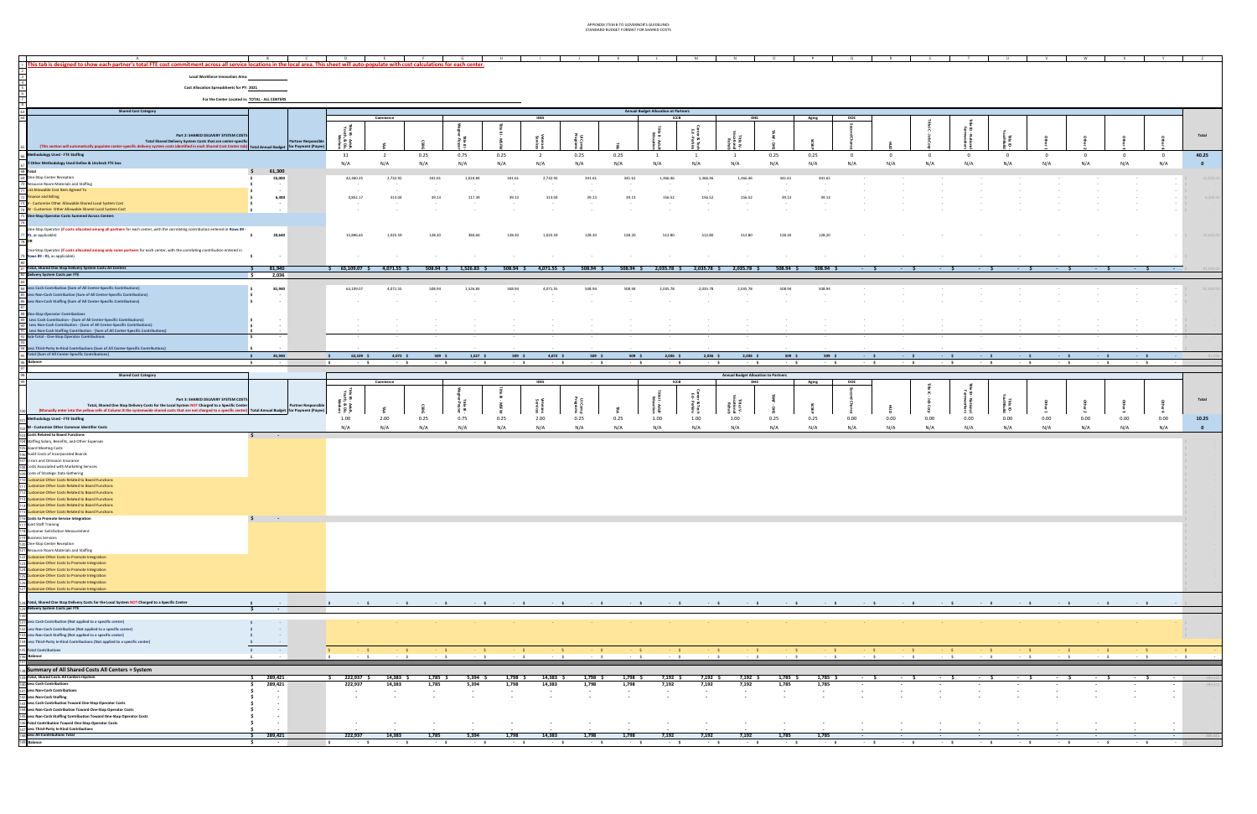| This tab is designed to show each partner's total FTE cost commitment across all service locations in the local area. This sheet will auto-populate with cost calculations for each center.                                         |                                  |                                                      |                                   |                                    |                                  |                                  |                                    |                                                                                                                                            |                                                                          |                                                                                                                                                                                                                                      |                                             |                               |                                 |                                    |                          |                                    |                                                                                                                                                   |                                    |                                    |                                      |                                    |                          |                                  |
|-------------------------------------------------------------------------------------------------------------------------------------------------------------------------------------------------------------------------------------|----------------------------------|------------------------------------------------------|-----------------------------------|------------------------------------|----------------------------------|----------------------------------|------------------------------------|--------------------------------------------------------------------------------------------------------------------------------------------|--------------------------------------------------------------------------|--------------------------------------------------------------------------------------------------------------------------------------------------------------------------------------------------------------------------------------|---------------------------------------------|-------------------------------|---------------------------------|------------------------------------|--------------------------|------------------------------------|---------------------------------------------------------------------------------------------------------------------------------------------------|------------------------------------|------------------------------------|--------------------------------------|------------------------------------|--------------------------|----------------------------------|
|                                                                                                                                                                                                                                     |                                  |                                                      |                                   |                                    |                                  |                                  |                                    |                                                                                                                                            |                                                                          |                                                                                                                                                                                                                                      |                                             |                               |                                 |                                    |                          |                                    |                                                                                                                                                   |                                    |                                    |                                      |                                    |                          |                                  |
| <b>Local Workforce Innovation Area:</b>                                                                                                                                                                                             |                                  |                                                      |                                   |                                    |                                  |                                  |                                    |                                                                                                                                            |                                                                          |                                                                                                                                                                                                                                      |                                             |                               |                                 |                                    |                          |                                    |                                                                                                                                                   |                                    |                                    |                                      |                                    |                          |                                  |
| Cost Allocation Spreadsheets for PY: 2021                                                                                                                                                                                           |                                  |                                                      |                                   |                                    |                                  |                                  |                                    |                                                                                                                                            |                                                                          |                                                                                                                                                                                                                                      |                                             |                               |                                 |                                    |                          |                                    |                                                                                                                                                   |                                    |                                    |                                      |                                    |                          |                                  |
| For the Center Located in: TOTAL - ALL CENTERS                                                                                                                                                                                      |                                  |                                                      |                                   |                                    |                                  |                                  |                                    |                                                                                                                                            |                                                                          |                                                                                                                                                                                                                                      |                                             |                               |                                 |                                    |                          |                                    |                                                                                                                                                   |                                    |                                    |                                      |                                    |                          |                                  |
| <b>Shared Cost Category</b>                                                                                                                                                                                                         |                                  |                                                      |                                   |                                    |                                  |                                  |                                    |                                                                                                                                            | <b>Annual Budget Allocation ot Partners</b>                              |                                                                                                                                                                                                                                      |                                             |                               |                                 |                                    |                          |                                    |                                                                                                                                                   |                                    |                                    |                                      |                                    |                          |                                  |
|                                                                                                                                                                                                                                     |                                  |                                                      | Commerce                          |                                    |                                  |                                  | <b>IDES</b>                        |                                                                                                                                            |                                                                          | ICCB                                                                                                                                                                                                                                 | <b>DHS</b>                                  |                               | Aging                           | <b>DOC</b>                         |                          |                                    |                                                                                                                                                   |                                    |                                    |                                      |                                    |                          |                                  |
|                                                                                                                                                                                                                                     |                                  |                                                      |                                   |                                    |                                  |                                  |                                    |                                                                                                                                            |                                                                          |                                                                                                                                                                                                                                      |                                             |                               |                                 |                                    |                          |                                    |                                                                                                                                                   |                                    |                                    |                                      |                                    |                          |                                  |
| Part 2: SHARED DELIVERY SYSTEM COSTS                                                                                                                                                                                                |                                  | ۔ ≑ ځ ≥                                              |                                   |                                    |                                  |                                  |                                    |                                                                                                                                            |                                                                          | م ڇ                                                                                                                                                                                                                                  |                                             |                               |                                 |                                    |                          |                                    |                                                                                                                                                   |                                    |                                    |                                      |                                    |                          | Total                            |
| Total Shared Delivery System Costs that are center-specific<br>(This section will automatically populate center-specific delivery system costs identified in each Shared Cost Center tab) Total Annual Budget   for Payment (Payee) | <b>Partner Responsibl</b>        | ୁ କୁ ବୁ<br>រន្ត្រី                                   |                                   |                                    |                                  |                                  |                                    |                                                                                                                                            |                                                                          |                                                                                                                                                                                                                                      | 柔喜!                                         |                               |                                 |                                    |                          |                                    |                                                                                                                                                   |                                    |                                    |                                      |                                    |                          |                                  |
| <b>Methodology Used - FTE Staffing</b>                                                                                                                                                                                              |                                  | 31                                                   | $\overline{2}$                    | 0.25                               | 0.75                             | 0.25                             | $\overline{2}$                     | 0.25<br>0.25                                                                                                                               |                                                                          | 1                                                                                                                                                                                                                                    | 1                                           | 0.25                          | 0.25                            | $\mathbf{0}$                       | $\overline{0}$           | $^{\circ}$                         | $\mathbf{0}$                                                                                                                                      | $\overline{0}$                     | - 0                                | $\mathbf{0}$                         | $\overline{0}$                     | $\Omega$                 | 40.25                            |
| If Other Methodology Used Define & Uncheck FTE box                                                                                                                                                                                  |                                  | N/A                                                  | N/A                               | N/A                                | N/A                              | N/A                              | N/A                                | N/A<br>N/A                                                                                                                                 | N/A                                                                      | N/A                                                                                                                                                                                                                                  | N/A                                         | N/A                           | N/A                             | N/A                                | N/A                      | N/A                                | N/A                                                                                                                                               | N/A                                | N/A                                | N/A                                  | N/A                                | N/A                      | $\mathbf{0}$                     |
| Total                                                                                                                                                                                                                               | 61,300                           |                                                      |                                   |                                    |                                  |                                  |                                    |                                                                                                                                            |                                                                          |                                                                                                                                                                                                                                      |                                             |                               |                                 |                                    |                          |                                    |                                                                                                                                                   |                                    |                                    |                                      |                                    |                          |                                  |
| One-Stop Center Reception<br>Resource Room Materials and Staffing                                                                                                                                                                   | 55,000                           | 42,360.25                                            | 2,732.92<br>$\sim$                | 341.61                             | 1,024.84<br>$\sim$               | 341.61<br>$\sim$                 | 2,732.92                           | 341.61<br>$\sim$                                                                                                                           | 341.61<br>1,366.46<br>$\sim$<br>$\sim$                                   | 1,366.46<br>$\sim$ 100 $\mu$                                                                                                                                                                                                         | 1,366.46<br>$\sim$                          | 341.61<br>$\sim$              | 341.61<br>$\sim$                | $\sim$<br>$\sim$                   | $\sim$ 100 $\pm$         | $\sim$                             | $\sim$                                                                                                                                            | $\sim$<br>$\sim$                   | $\sim$<br>$\sim$ 100 $\mu$         | $\sim$ 100 $\pm$<br>$\sim$ 100 $\mu$ | $\sim$ 100 $\pm$<br>$\sim$         |                          | 55,000.0                         |
| List Allowable Cost Item Agreed To                                                                                                                                                                                                  |                                  |                                                      |                                   |                                    | $\sim$                           |                                  |                                    | $\sim$                                                                                                                                     |                                                                          |                                                                                                                                                                                                                                      | $\sim$                                      |                               |                                 | $\sim$                             |                          |                                    |                                                                                                                                                   | $\sim$                             | $\sim$ 100 $\mu$                   | $\sim$ 100 $\mu$                     | $\sim$                             |                          |                                  |
| Finance and Billing<br>V - Customize Other Allowable Shared Local System Cost                                                                                                                                                       | 6,300                            | 4,852.17<br>$\sim$                                   | 313.04<br>$\sim$                  | 39.13<br>$\sim$                    | 117.39<br>$\sim$                 | 39.13<br>$\sim$                  | 313.04<br>$\sim$ 100 $\mu$         | 39.13<br>$\sim$                                                                                                                            | 39.13<br>156.52<br>$\sim$<br>$\sim$                                      | 156.52<br>$\sim 100$                                                                                                                                                                                                                 | 156.52<br>$\sim$                            | 39.13<br>$\sim$ 100 $\mu$     | 39.13<br>$\sim$ 100 $\mu$       |                                    |                          |                                    |                                                                                                                                                   | $\sim$                             | $\sim$ 100 $\mu$                   | $\sim$<br>$\sim$                     | $\sim$ $-$<br>$\sim$ $-$           |                          | 6,300.0                          |
| W - Customize Other Allowable Shared Local System Cost                                                                                                                                                                              |                                  | $\sim$                                               |                                   |                                    |                                  |                                  |                                    |                                                                                                                                            |                                                                          |                                                                                                                                                                                                                                      |                                             |                               |                                 |                                    |                          |                                    |                                                                                                                                                   |                                    |                                    |                                      |                                    |                          |                                  |
| <b>One-Stop Operator Costs Summed Across Centers</b>                                                                                                                                                                                |                                  |                                                      |                                   |                                    |                                  |                                  |                                    |                                                                                                                                            |                                                                          |                                                                                                                                                                                                                                      |                                             |                               |                                 |                                    |                          |                                    |                                                                                                                                                   |                                    |                                    |                                      |                                    |                          |                                  |
| One-Stop Operator (if costs allocated among all partners for each center, with the correlating contribution entered in Rows 89 -                                                                                                    |                                  |                                                      |                                   |                                    |                                  |                                  |                                    |                                                                                                                                            |                                                                          |                                                                                                                                                                                                                                      |                                             |                               |                                 |                                    |                          |                                    |                                                                                                                                                   |                                    |                                    |                                      |                                    |                          |                                  |
| 91, as applicable)                                                                                                                                                                                                                  | 20,640                           | 15.896.65                                            | 1.025.59                          | 128.20                             | 384.60                           | 128.20                           | 1.025.59                           | 128.20                                                                                                                                     | 128.20<br>512.80                                                         | 512.80                                                                                                                                                                                                                               | 512.80                                      | 128.20                        | 128.20                          |                                    |                          |                                    |                                                                                                                                                   |                                    |                                    |                                      |                                    |                          | 20,640.0                         |
| One-Stop Operator (if costs allocated among only some partners for each center, with the correlating contribution entered in                                                                                                        |                                  |                                                      |                                   |                                    |                                  |                                  |                                    |                                                                                                                                            |                                                                          |                                                                                                                                                                                                                                      |                                             |                               |                                 |                                    |                          |                                    |                                                                                                                                                   |                                    |                                    |                                      |                                    |                          |                                  |
| Rows 89 - 91, as applicable)                                                                                                                                                                                                        |                                  | $\sim$ $-$                                           |                                   |                                    |                                  |                                  |                                    |                                                                                                                                            | $\sim$                                                                   | $\sim 100$                                                                                                                                                                                                                           | $\sim 10^{-1}$                              |                               |                                 |                                    |                          |                                    |                                                                                                                                                   |                                    |                                    |                                      |                                    |                          |                                  |
| Total, Shared One Stop Delivery System Costs All Centers                                                                                                                                                                            | 81,940                           | \$63,109.07\$                                        | $4,071.55$ \$                     |                                    | $508.94 \quad $1,526.83 \quad $$ | $508.94 \quad $4,071.55 \quad $$ |                                    | $508.94$ \$                                                                                                                                | 508.94 \$ 2,035.78 \$ 2,035.78 \$ 2,035.78 \$                            |                                                                                                                                                                                                                                      |                                             | $508.94$ \$                   | $508.94$ \$                     |                                    |                          |                                    |                                                                                                                                                   |                                    |                                    |                                      |                                    |                          |                                  |
| Delivery System Costs per FTE                                                                                                                                                                                                       | 2,036                            |                                                      |                                   |                                    |                                  |                                  |                                    |                                                                                                                                            |                                                                          |                                                                                                                                                                                                                                      |                                             |                               |                                 |                                    |                          |                                    |                                                                                                                                                   |                                    |                                    |                                      |                                    |                          |                                  |
|                                                                                                                                                                                                                                     |                                  |                                                      |                                   |                                    |                                  |                                  |                                    |                                                                                                                                            |                                                                          |                                                                                                                                                                                                                                      |                                             |                               |                                 |                                    |                          |                                    |                                                                                                                                                   |                                    |                                    |                                      |                                    |                          |                                  |
| <b>Less Cash Contribution (Sum of All Center-Specific Contributions)</b><br>Less Non-Cash Contribution (Sum of All Center-Specific Contributions)                                                                                   | 81,940                           | 63,109.07                                            | 4,071.55                          | 508.94                             | 1,526.83                         | 508.94                           | 4,071.55                           | 508.94<br>$\sim$                                                                                                                           | 508.94<br>2,035.78                                                       | 2,035.78                                                                                                                                                                                                                             | 2,035.78                                    | 508.94                        | 508.94                          | $\sim$ 100 $\pm$                   |                          |                                    |                                                                                                                                                   |                                    |                                    |                                      | $\sim$                             |                          | 81,940.0                         |
| 6 Less Non-Cash Staffing (Sum of All Center-Specific Contributions)                                                                                                                                                                 |                                  | $\sim$                                               | $\sim$                            |                                    | $\sim$                           | $\sim$                           |                                    | $\sim$                                                                                                                                     | $\sim$<br>$\sim$                                                         |                                                                                                                                                                                                                                      | $\sim$                                      |                               | $\sim$                          | $\sim$                             |                          |                                    |                                                                                                                                                   |                                    |                                    |                                      | $\sim$                             |                          |                                  |
| <b>One-Stop Operator Contributions</b>                                                                                                                                                                                              |                                  |                                                      |                                   |                                    |                                  |                                  |                                    |                                                                                                                                            |                                                                          |                                                                                                                                                                                                                                      |                                             |                               |                                 |                                    |                          |                                    |                                                                                                                                                   |                                    |                                    |                                      |                                    |                          |                                  |
| 9 Less Cash Contribution - (Sum of All Center-Specific Contributions)<br>0 Less Non-Cash Contribution - (Sum of All Center-Specific Contributions)                                                                                  |                                  | $\sim$                                               |                                   |                                    |                                  |                                  |                                    |                                                                                                                                            |                                                                          |                                                                                                                                                                                                                                      |                                             |                               |                                 |                                    |                          |                                    |                                                                                                                                                   |                                    |                                    |                                      |                                    |                          |                                  |
| Less Non-Cash Staffing Contribution - (Sum of All Center-Specific Contributions)                                                                                                                                                    |                                  | $\sim$                                               |                                   |                                    |                                  |                                  |                                    |                                                                                                                                            |                                                                          |                                                                                                                                                                                                                                      |                                             |                               |                                 |                                    |                          |                                    |                                                                                                                                                   |                                    |                                    |                                      |                                    |                          |                                  |
| <b>Sub-Total - One-Stop Operator Contributions</b>                                                                                                                                                                                  |                                  |                                                      |                                   |                                    |                                  |                                  |                                    |                                                                                                                                            |                                                                          |                                                                                                                                                                                                                                      |                                             |                               |                                 |                                    |                          |                                    |                                                                                                                                                   |                                    |                                    |                                      |                                    |                          |                                  |
| Less Third-Party In-Kind Contributions (Sum of All Center-Specific Contributions)                                                                                                                                                   |                                  |                                                      |                                   |                                    |                                  |                                  |                                    |                                                                                                                                            |                                                                          |                                                                                                                                                                                                                                      |                                             |                               |                                 |                                    |                          |                                    |                                                                                                                                                   |                                    |                                    |                                      |                                    |                          |                                  |
| Total (Sum of All Center-Specific Contributions)                                                                                                                                                                                    | 81,940                           | 63,109 \$                                            | 4,072 \$                          | 509 \$                             | $1,527$ \$                       | 509 \$                           | 4,072 \$                           | 509 \$                                                                                                                                     | $509 \quad $$                                                            | $2,036$ \$<br>$2,036$ \$                                                                                                                                                                                                             | 2,036                                       | 509 \$                        | 509 \$                          |                                    |                          |                                    |                                                                                                                                                   | - \$                               |                                    |                                      |                                    |                          |                                  |
| <b>Balance</b><br>s.                                                                                                                                                                                                                |                                  | $\sim$<br>$\sim$ s                                   | $\cdot$ s                         | - \$                               | $\cdot$ s                        | $-5$                             | $-5$                               | $\sim$ s                                                                                                                                   | $\sim$ $\sim$ $\sim$                                                     | $\cdot$ s<br>$\sim$ \$                                                                                                                                                                                                               | $-5$                                        | $-5$                          | $\sim$ $\sim$ $\sim$            |                                    | - \$                     | . s                                |                                                                                                                                                   | - \$                               |                                    | - \$                                 | $-5$                               | $-5$                     |                                  |
| <b>Shared Cost Category</b>                                                                                                                                                                                                         |                                  |                                                      |                                   |                                    |                                  |                                  |                                    |                                                                                                                                            |                                                                          |                                                                                                                                                                                                                                      | <b>Annual Budget Allocation to Partners</b> |                               |                                 |                                    |                          |                                    |                                                                                                                                                   |                                    |                                    |                                      |                                    |                          |                                  |
|                                                                                                                                                                                                                                     |                                  |                                                      | Commerce                          |                                    |                                  |                                  | <b>IDES</b>                        |                                                                                                                                            |                                                                          | ICCB                                                                                                                                                                                                                                 | <b>DHS</b>                                  |                               | Aging                           | <b>DOC</b>                         |                          |                                    |                                                                                                                                                   |                                    |                                    |                                      |                                    |                          |                                  |
| Part 3: SHARED DELIVERY SYSTEM COSTS                                                                                                                                                                                                |                                  |                                                      |                                   |                                    |                                  |                                  |                                    |                                                                                                                                            |                                                                          | 도 로                                                                                                                                                                                                                                  |                                             |                               |                                 |                                    |                          |                                    |                                                                                                                                                   |                                    |                                    |                                      |                                    |                          | Total                            |
| Total, Shared One Stop Delivery Costs for the Local System NOT Charged to a Specific Center                                                                                                                                         | <b>Partner Responsibl</b>        |                                                      |                                   |                                    |                                  |                                  |                                    |                                                                                                                                            |                                                                          |                                                                                                                                                                                                                                      | itie IV -<br>ational<br>Rehab               |                               |                                 |                                    |                          |                                    |                                                                                                                                                   |                                    |                                    |                                      |                                    |                          |                                  |
| (Manually enter into the yellow cells of Column B the systemwide shared costs that are not charged to a specific center) Total Annual Budget for Payment (Payee)<br>Methodology Used - FTE Staffing                                 |                                  | 1 F 등                                                |                                   |                                    | ≨ ≣                              |                                  |                                    | 积                                                                                                                                          | en<br>#ieu                                                               | 흘                                                                                                                                                                                                                                    |                                             |                               |                                 |                                    |                          |                                    |                                                                                                                                                   | 불 로                                |                                    | $\overline{N}$                       |                                    |                          |                                  |
| M - Customize Other Common Identifier Costs                                                                                                                                                                                         |                                  | 1.00<br>N/A                                          | 2.00<br>N/A                       | 0.25<br>N/A                        | 0.75<br>N/A                      | 0.25<br>N/A                      | 2.00<br>N/A                        | 0.25<br>0.25<br>N/A<br>N/A                                                                                                                 | 1.00<br>N/A                                                              | 1.00<br>N/A                                                                                                                                                                                                                          | 1.00<br>N/A                                 | 0.25<br>N/A                   | 0.25<br>N/A                     | 0.00<br>N/A                        | 0.00<br>N/A              | 0.00<br>N/A                        | 0.00<br>N/A                                                                                                                                       | 0.00<br>N/A                        | 0.00<br>N/A                        | 0.00<br>N/A                          | 0.00<br>N/A                        | 0.00<br>N/A              | 10.25<br>$\overline{\mathbf{0}}$ |
| 3 Costs Related to Board Functions                                                                                                                                                                                                  | \$                               |                                                      |                                   |                                    |                                  |                                  |                                    |                                                                                                                                            |                                                                          |                                                                                                                                                                                                                                      |                                             |                               |                                 |                                    |                          |                                    |                                                                                                                                                   |                                    |                                    |                                      |                                    |                          |                                  |
| 34 Staffing Salary, Benefits, and Other Expenses                                                                                                                                                                                    |                                  |                                                      |                                   |                                    |                                  |                                  |                                    |                                                                                                                                            |                                                                          |                                                                                                                                                                                                                                      |                                             |                               |                                 |                                    |                          |                                    |                                                                                                                                                   |                                    |                                    |                                      |                                    |                          |                                  |
| <b>Board Meeting Costs</b><br>06 Audit Costs of Incorporated Boards                                                                                                                                                                 |                                  |                                                      |                                   |                                    |                                  |                                  |                                    |                                                                                                                                            |                                                                          |                                                                                                                                                                                                                                      |                                             |                               |                                 |                                    |                          |                                    |                                                                                                                                                   |                                    |                                    |                                      |                                    |                          |                                  |
| 7 Errors and Omission Insurance                                                                                                                                                                                                     |                                  |                                                      |                                   |                                    |                                  |                                  |                                    |                                                                                                                                            |                                                                          |                                                                                                                                                                                                                                      |                                             |                               |                                 |                                    |                          |                                    |                                                                                                                                                   |                                    |                                    |                                      |                                    |                          |                                  |
| 08 Costs Associated with Marketing Services<br>09 Costs of Strategic Data Gathering                                                                                                                                                 |                                  |                                                      |                                   |                                    |                                  |                                  |                                    |                                                                                                                                            |                                                                          |                                                                                                                                                                                                                                      |                                             |                               |                                 |                                    |                          |                                    |                                                                                                                                                   |                                    |                                    |                                      |                                    |                          |                                  |
| <b>Customize Other Costs Related to Board Functions</b>                                                                                                                                                                             |                                  |                                                      |                                   |                                    |                                  |                                  |                                    |                                                                                                                                            |                                                                          |                                                                                                                                                                                                                                      |                                             |                               |                                 |                                    |                          |                                    |                                                                                                                                                   |                                    |                                    |                                      |                                    |                          |                                  |
|                                                                                                                                                                                                                                     |                                  |                                                      |                                   |                                    |                                  |                                  |                                    |                                                                                                                                            |                                                                          |                                                                                                                                                                                                                                      |                                             |                               |                                 |                                    |                          |                                    |                                                                                                                                                   |                                    |                                    |                                      |                                    |                          |                                  |
| <b>Customize Other Costs Related to Board Functions</b>                                                                                                                                                                             |                                  |                                                      |                                   |                                    |                                  |                                  |                                    |                                                                                                                                            |                                                                          |                                                                                                                                                                                                                                      |                                             |                               |                                 |                                    |                          |                                    |                                                                                                                                                   |                                    |                                    |                                      |                                    |                          |                                  |
| <b>Customize Other Costs Related to Board Functions</b><br>ustomize Other Costs Related to Board Functions                                                                                                                          |                                  |                                                      |                                   |                                    |                                  |                                  |                                    |                                                                                                                                            |                                                                          |                                                                                                                                                                                                                                      |                                             |                               |                                 |                                    |                          |                                    |                                                                                                                                                   |                                    |                                    |                                      |                                    |                          |                                  |
| <b>Customize Other Costs Related to Board Functions</b>                                                                                                                                                                             |                                  |                                                      |                                   |                                    |                                  |                                  |                                    |                                                                                                                                            |                                                                          |                                                                                                                                                                                                                                      |                                             |                               |                                 |                                    |                          |                                    |                                                                                                                                                   |                                    |                                    |                                      |                                    |                          |                                  |
| <b>Customize Other Costs Related to Board Functions</b><br>sts to Promote Service Integratio                                                                                                                                        |                                  |                                                      |                                   |                                    |                                  |                                  |                                    |                                                                                                                                            |                                                                          |                                                                                                                                                                                                                                      |                                             |                               |                                 |                                    |                          |                                    |                                                                                                                                                   |                                    |                                    |                                      |                                    |                          |                                  |
| 7 Joint Staff Training                                                                                                                                                                                                              | $S = \frac{1}{2}$                |                                                      |                                   |                                    |                                  |                                  |                                    |                                                                                                                                            |                                                                          |                                                                                                                                                                                                                                      |                                             |                               |                                 |                                    |                          |                                    |                                                                                                                                                   |                                    |                                    |                                      |                                    |                          |                                  |
| 18 Customer Satisfaction Measurement<br>9 Business Services                                                                                                                                                                         |                                  |                                                      |                                   |                                    |                                  |                                  |                                    |                                                                                                                                            |                                                                          |                                                                                                                                                                                                                                      |                                             |                               |                                 |                                    |                          |                                    |                                                                                                                                                   |                                    |                                    |                                      |                                    |                          |                                  |
| 120 One-Stop Center Reception                                                                                                                                                                                                       |                                  |                                                      |                                   |                                    |                                  |                                  |                                    |                                                                                                                                            |                                                                          |                                                                                                                                                                                                                                      |                                             |                               |                                 |                                    |                          |                                    |                                                                                                                                                   |                                    |                                    |                                      |                                    |                          |                                  |
| 1 Resource Room Materials and Staffing<br>122 Customize Other Costs to Promote Integration                                                                                                                                          |                                  |                                                      |                                   |                                    |                                  |                                  |                                    |                                                                                                                                            |                                                                          |                                                                                                                                                                                                                                      |                                             |                               |                                 |                                    |                          |                                    |                                                                                                                                                   |                                    |                                    |                                      |                                    |                          |                                  |
| 123 Customize Other Costs to Promote Integration                                                                                                                                                                                    |                                  |                                                      |                                   |                                    |                                  |                                  |                                    |                                                                                                                                            |                                                                          |                                                                                                                                                                                                                                      |                                             |                               |                                 |                                    |                          |                                    |                                                                                                                                                   |                                    |                                    |                                      |                                    |                          |                                  |
| 124 Customize Other Costs to Promote Integration<br>125 Customize Other Costs to Promote Integration                                                                                                                                |                                  |                                                      |                                   |                                    |                                  |                                  |                                    |                                                                                                                                            |                                                                          |                                                                                                                                                                                                                                      |                                             |                               |                                 |                                    |                          |                                    |                                                                                                                                                   |                                    |                                    |                                      |                                    |                          |                                  |
| 126 Customize Other Costs to Promote Integration                                                                                                                                                                                    |                                  |                                                      |                                   |                                    |                                  |                                  |                                    |                                                                                                                                            |                                                                          |                                                                                                                                                                                                                                      |                                             |                               |                                 |                                    |                          |                                    |                                                                                                                                                   |                                    |                                    |                                      |                                    |                          |                                  |
| <b>Customize Other Costs to Promote Integration</b>                                                                                                                                                                                 |                                  |                                                      |                                   |                                    |                                  |                                  |                                    |                                                                                                                                            |                                                                          |                                                                                                                                                                                                                                      |                                             |                               |                                 |                                    |                          |                                    |                                                                                                                                                   |                                    |                                    |                                      |                                    |                          |                                  |
| 28 Total, Shared One Stop Delivery Costs for the Local System NOT Charged to a Specific Center<br>$\sim$                                                                                                                            |                                  |                                                      |                                   |                                    |                                  |                                  |                                    |                                                                                                                                            |                                                                          |                                                                                                                                                                                                                                      |                                             |                               |                                 |                                    |                          |                                    |                                                                                                                                                   |                                    |                                    |                                      |                                    |                          |                                  |
| 9 Delivery System Costs per FTE<br>$\mathsf{S}$                                                                                                                                                                                     | <b>State State</b>               |                                                      |                                   |                                    |                                  |                                  |                                    |                                                                                                                                            |                                                                          |                                                                                                                                                                                                                                      |                                             |                               |                                 |                                    |                          |                                    |                                                                                                                                                   |                                    |                                    |                                      |                                    |                          |                                  |
| 31 Less Cash Contribution (Not applied to a specific center)                                                                                                                                                                        |                                  |                                                      |                                   |                                    |                                  |                                  |                                    | the control of the control of the control of the control of                                                                                |                                                                          |                                                                                                                                                                                                                                      |                                             |                               |                                 |                                    |                          |                                    |                                                                                                                                                   |                                    |                                    |                                      |                                    |                          |                                  |
| 2 Less Non-Cash Contribution (Not applied to a specific center)<br>S.                                                                                                                                                               | <b>Contract</b>                  |                                                      |                                   |                                    |                                  |                                  |                                    |                                                                                                                                            |                                                                          |                                                                                                                                                                                                                                      |                                             |                               |                                 |                                    |                          |                                    |                                                                                                                                                   |                                    |                                    |                                      |                                    |                          |                                  |
| Less Non-Cash Staffing (Not applied to a specific center)<br>S<br>14 Less Third-Party In-Kind Contributions (Not applied to a specific center)                                                                                      | <b>Contract</b>                  |                                                      |                                   |                                    |                                  |                                  |                                    |                                                                                                                                            |                                                                          |                                                                                                                                                                                                                                      |                                             |                               |                                 |                                    |                          |                                    |                                                                                                                                                   |                                    |                                    |                                      |                                    |                          |                                  |
| <b>35 Total Contributions</b>                                                                                                                                                                                                       | <b>Contractor</b>                |                                                      |                                   |                                    |                                  |                                  |                                    |                                                                                                                                            |                                                                          |                                                                                                                                                                                                                                      |                                             |                               |                                 |                                    | <b>Contract Street</b>   |                                    | $\mathbf{S} = \mathbf{S}$ and $\mathbf{S} = \mathbf{S}$ and $\mathbf{S} = \mathbf{S}$ and $\mathbf{S} = \mathbf{S}$ and $\mathbf{S} = \mathbf{S}$ | $\mathbb{R}^n \times \mathbb{R}^n$ |                                    |                                      |                                    | $-5$                     |                                  |
| 36 Balance                                                                                                                                                                                                                          |                                  | $\sim$<br><b>Contract Contract Contract Contract</b> | <b>Contract Contract Contract</b> | <b>Contract Street</b>             | <b>Contract Street</b>           | <b>Contract Street</b>           | <b>Contract Street</b>             | <b>Contract Street</b>                                                                                                                     | <b><i>Contract Contract Contract</i></b>                                 | <b>Contract Contract Contract Contract Contract Contract Contract Contract Contract Contract Contract Contract Contract Contract Contract Contract Contract Contract Contract Contract Contract Contract Contract Contract Contr</b> | <b>Contract Street</b>                      |                               |                                 | $\sim$ $\sim$ $\sim$ $\sim$        | <b>Contract Street</b>   | <b>Contract Street</b>             | $\sim$ $\sim$ $\sim$ $\sim$ $\sim$                                                                                                                |                                    | $\sim$ $\sim$ $\sim$ $\sim$        | $\sim$ $\sim$ $\sim$ $\sim$          | $\sim$ $\sim$ $\sim$ $\sim$ $\sim$ |                          |                                  |
| 38 Summary of All Shared Costs All Centers + System                                                                                                                                                                                 |                                  |                                                      |                                   |                                    |                                  |                                  |                                    |                                                                                                                                            |                                                                          |                                                                                                                                                                                                                                      |                                             |                               |                                 |                                    |                          |                                    |                                                                                                                                                   |                                    |                                    |                                      |                                    |                          |                                  |
| --<br>39 Total, Shared Costs All Centers+System                                                                                                                                                                                     | $\frac{1}{2}$ 289,421            |                                                      |                                   |                                    |                                  |                                  |                                    | \$222,937 \$14,383 \$1,785 \$5,394 \$1,798 \$14,383 \$1,798 \$1,798 \$7,192 \$7,192 \$7,192 \$1,785 \$1,785 \$\$\$\$\$\$\$\$\$\$\$\$\$\$\$ |                                                                          |                                                                                                                                                                                                                                      |                                             |                               |                                 |                                    |                          |                                    |                                                                                                                                                   |                                    |                                    |                                      |                                    | <b>State Street</b>      |                                  |
| 10 Less Cash Contributions                                                                                                                                                                                                          | 289,421                          | 222,937                                              | 14,383                            | 1,785                              | 5,394                            | 1,798<br><b>Contract</b>         | 14,383                             | 1,798                                                                                                                                      | 1,798<br>7,192                                                           | 7,192                                                                                                                                                                                                                                | 7,192                                       | 1,785                         | 1,785                           | $\sim$                             | <b>Contract Contract</b> | $\sim$                             |                                                                                                                                                   |                                    |                                    | <b>Contract</b>                      | <b>Contract Contract</b>           |                          |                                  |
| 11 Less Non-Cash Contributions<br>42 Less Non-Cash Staffing                                                                                                                                                                         | $\sim 10^{-1}$<br>$\sim 10^{-1}$ | <b>Contract</b><br>$\sim 100$                        | <b>Contractor</b><br>$\sim 100$   | <b>Contract</b><br><b>Contract</b> | <b>Contract</b><br>$\sim 100$    | <b>Contract</b>                  | <b>Contract</b><br>$\sim 10^{-11}$ | <b>Contract</b><br><b>Contract</b>                                                                                                         | <b>Contract</b><br><b>Contract</b><br><b>Contract</b><br><b>Contract</b> | <b>Contract</b><br><b>Contract</b>                                                                                                                                                                                                   | <b>Contract</b><br>$\sim 100$               | <b>Contract</b><br>$\sim 100$ | <b>Contractor</b><br>$\sim 100$ | <b>Contract</b><br><b>Contract</b> | <b>Contract</b>          | <b>Contract</b><br>$\sim 10^{-11}$ | $\sim 100$<br>$\sim 10^{-1}$                                                                                                                      | <b>Contract</b><br>$\sim 10^{-1}$  | <b>Contract</b><br>$\sim 10^{-11}$ | $\sim 100$                           | $\sim 10^{-11}$                    | $\sim$ $-$<br>$\sim 100$ |                                  |
| 43 Less Cash Contribution Toward One-Stop Operator Costs                                                                                                                                                                            | $\sim 10^{-1}$                   |                                                      |                                   |                                    |                                  |                                  |                                    |                                                                                                                                            |                                                                          |                                                                                                                                                                                                                                      |                                             |                               |                                 |                                    |                          |                                    |                                                                                                                                                   |                                    |                                    |                                      |                                    |                          |                                  |
| 44 Less Non-Cash Contribution Toward One-Stop Operator Costs<br>45 Less Non-Cash Staffing Contribution Toward One-Stop Operator Costs                                                                                               | $\sim 10^{-1}$<br>$\sim$ $\sim$  |                                                      |                                   |                                    |                                  |                                  |                                    |                                                                                                                                            |                                                                          |                                                                                                                                                                                                                                      |                                             |                               |                                 |                                    |                          |                                    |                                                                                                                                                   |                                    |                                    |                                      |                                    |                          |                                  |
| 46 Total Contribution Toward One-Stop Operator Costs                                                                                                                                                                                | $\sim$                           | $\sim$ $-$                                           | $\sim$ 100 $\pm$                  | $\sim$ 100 $\pm$                   | $\sim 100$                       | $\sim$ 100 $\pm$                 | $\sim 10^{-11}$                    | $\sim 100$                                                                                                                                 | $\sim 100$<br><b>Contract</b>                                            | $\sim 100$                                                                                                                                                                                                                           | $\sim 100$                                  | $\sim 100$                    | <b>Contract Advised</b>         | and the state of                   | <b>Contractor</b>        | <b>Contractor</b>                  | <b>Contractor</b>                                                                                                                                 | and the state of                   | <b>Contract</b>                    | $\sim 100$ km s $^{-1}$              | $\sim$ 100 $\pm$                   | $\sim 100$               |                                  |
| 47 Less Third-Party In-Kind Contributions<br>48 Less All Contributions Total                                                                                                                                                        | 289,421                          | 222,937                                              | 14,383                            | 1,785                              | 5,394                            | 1,798                            | 14,383                             | 1,798                                                                                                                                      | 1,798<br>7,192                                                           | 7,192                                                                                                                                                                                                                                | 7,192                                       | 1,785                         | $\sim$<br>1,785                 | $\sim$ $-$                         | $\sim$ $-$               | $\sim$ $-$<br>$\sim 10^{-11}$      | $\sim 10^{-11}$                                                                                                                                   | $\sim$ $-$                         | $\sim$<br>$\sim$                   |                                      | $\sim$ $-$                         | $\sim$<br><b>Service</b> |                                  |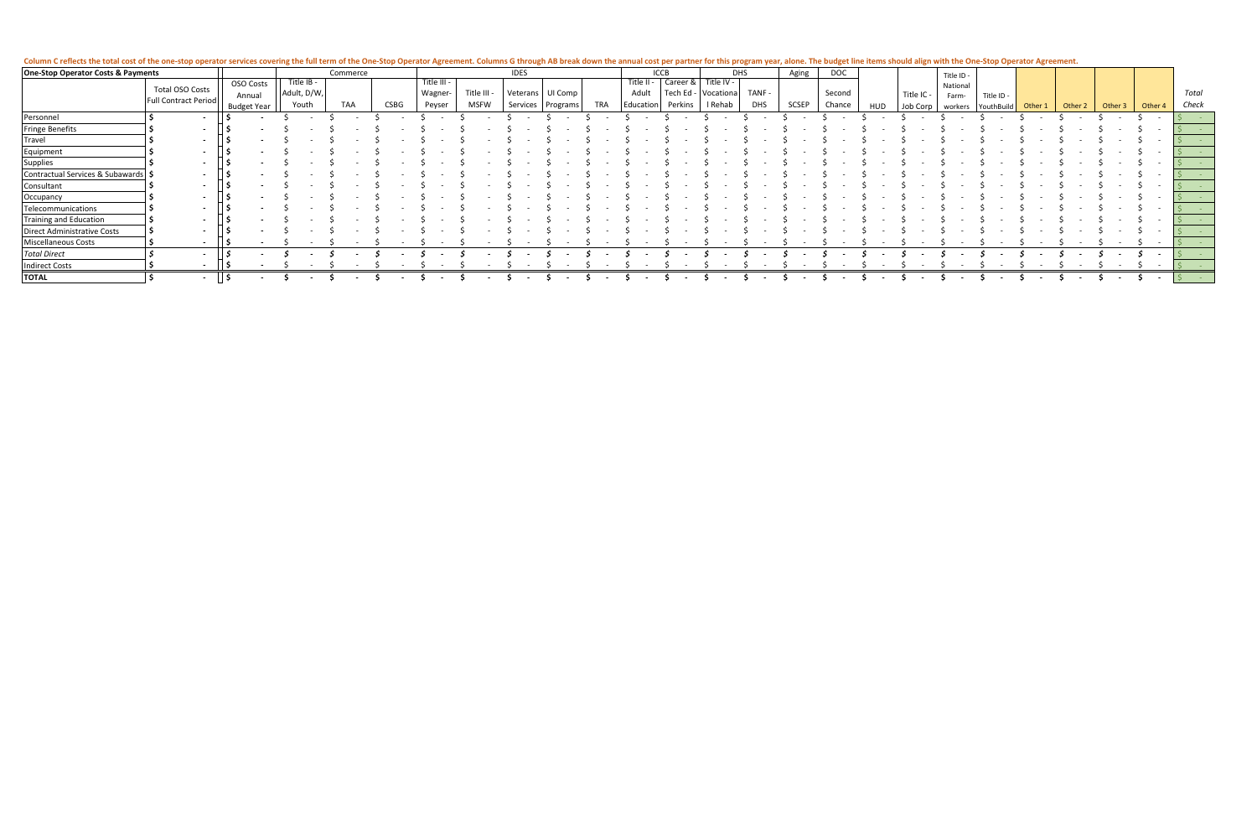| Column Crafterts the total cost of the ane stap apertor coupling the full term of the One Stap Operator Agreement, Columns C through AB break down the appural cost nor partner for this program war alone. The budget line it<br>CONTROL CHECKS THE ONE ON OF THE ORIGINUM SERVICES COVERING INCITED INTERNATION INCORPORATION CONTROL CONTROL OF DIVIOR INC ARRUIDED INTERNATION UNDER POLICE TO THIS PROGRAM ACTIVE THE WAGET THE WAGET THE READ SHOWN AND TH |                                                                                  |  |  |  |  |  |  |
|------------------------------------------------------------------------------------------------------------------------------------------------------------------------------------------------------------------------------------------------------------------------------------------------------------------------------------------------------------------------------------------------------------------------------------------------------------------|----------------------------------------------------------------------------------|--|--|--|--|--|--|
|                                                                                                                                                                                                                                                                                                                                                                                                                                                                  | ,他们就是一个人的人,他们就是一个人的人,他们就是一个人的人,他们就是一个人的人,他们就是一个人的人,他们就是一个人的人,他们就是一个人的人,他们就是一个人的人 |  |  |  |  |  |  |

| <b>One-Stop Operator Costs &amp; Payments</b> |                             |                          | Commerce    |  |             |  |            |  |             |           |             | <b>IDES</b> |          |                    |     |           | <b>ICCB</b> |           |            | <b>DHS</b> |            | Aging        | <b>DOC</b> |     |          | Title ID - |           |         |         |         |         |       |
|-----------------------------------------------|-----------------------------|--------------------------|-------------|--|-------------|--|------------|--|-------------|-----------|-------------|-------------|----------|--------------------|-----|-----------|-------------|-----------|------------|------------|------------|--------------|------------|-----|----------|------------|-----------|---------|---------|---------|---------|-------|
|                                               |                             |                          | OSO Costs   |  | Title IB -  |  |            |  |             | Title III |             |             |          |                    |     | Title II  |             | Career &  | Title IV - |            |            |              |            |     |          | National   |           |         |         |         |         |       |
|                                               | Total OSO Costs             |                          | Annua       |  | Adult, D/W, |  |            |  |             | Wagner-   | Title III - |             |          | Veterans   UI Comp |     | Adult     |             | Tech Ed - | Vocationa  |            | TANF -     |              | Second     |     | Title IC | Farm-      | Title ID  |         |         |         |         | Total |
|                                               | <b>Full Contract Period</b> |                          | Budget Year |  | Youth       |  | <b>TAA</b> |  | <b>CSBG</b> | Peyser    | <b>MSFW</b> |             | Services | Programs           | TRA | Education |             | Perkins   |            |            | <b>DHS</b> | <b>SCSEP</b> | Chance     | HUD | Job Corp | workers    | 'outhBuil | Other 1 | Other 2 | Other 3 | Other 4 | Check |
| Personnel                                     |                             |                          |             |  |             |  |            |  |             |           |             |             |          |                    |     |           |             |           |            |            |            |              |            |     |          |            |           |         |         |         |         |       |
| <b>Fringe Benefits</b>                        |                             | $\overline{\phantom{a}}$ |             |  |             |  |            |  |             |           |             |             |          |                    |     |           |             |           |            |            |            |              |            |     |          |            |           |         |         |         |         |       |
| Travel                                        |                             | $\overline{\phantom{a}}$ |             |  |             |  |            |  |             |           |             |             |          |                    |     |           |             |           |            |            |            |              |            |     |          |            |           |         |         |         |         |       |
| Equipment                                     |                             | $\sim$                   |             |  |             |  |            |  |             |           |             |             |          |                    |     |           |             |           |            |            |            |              |            |     |          |            |           |         |         |         |         |       |
| Supplies                                      |                             | $\overline{\phantom{a}}$ |             |  |             |  |            |  |             |           |             |             |          |                    |     |           |             |           |            |            |            |              |            |     |          |            |           |         |         |         |         |       |
| Contractual Services & Subawards              |                             | $-$                      |             |  |             |  |            |  |             |           |             |             |          |                    |     |           |             |           |            |            |            |              |            |     |          |            |           |         |         |         |         |       |
| Consultant                                    |                             | $\overline{\phantom{a}}$ |             |  |             |  |            |  |             |           |             |             |          |                    |     |           |             |           |            |            |            |              |            |     |          |            |           |         |         |         |         |       |
| Occupancy                                     |                             | $-$                      |             |  |             |  |            |  |             |           |             |             |          |                    |     |           |             |           |            |            |            |              |            |     |          |            |           |         |         |         |         |       |
| Telecommunications                            |                             | $\sim$                   |             |  |             |  |            |  |             |           |             |             |          |                    |     |           |             |           |            |            |            |              |            |     |          |            |           |         |         |         |         |       |
| Training and Education                        |                             | $\overline{\phantom{a}}$ |             |  |             |  |            |  |             |           |             |             |          |                    |     |           |             |           |            |            |            |              |            |     |          |            |           |         |         |         |         |       |
| Direct Administrative Costs                   |                             | $\overline{\phantom{a}}$ |             |  |             |  |            |  |             |           |             |             |          |                    |     |           |             |           |            |            |            |              |            |     |          |            |           |         |         |         |         |       |
| <b>Miscellaneous Costs</b>                    |                             |                          |             |  |             |  |            |  |             |           |             |             |          |                    |     |           |             |           |            |            |            |              |            |     |          |            |           |         |         |         |         |       |
| <b>Total Direct</b>                           |                             |                          |             |  |             |  |            |  |             |           |             |             |          |                    |     |           |             |           |            |            |            |              |            |     |          |            |           |         |         |         |         |       |
| <b>Indirect Costs</b>                         |                             | $\overline{\phantom{0}}$ |             |  |             |  |            |  |             |           |             |             |          |                    |     |           |             |           |            |            |            |              |            |     |          |            |           |         |         |         |         |       |
| <b>TOTAL</b>                                  |                             |                          |             |  |             |  |            |  |             |           |             |             |          |                    |     |           |             |           |            |            |            |              |            |     |          |            |           |         |         |         |         |       |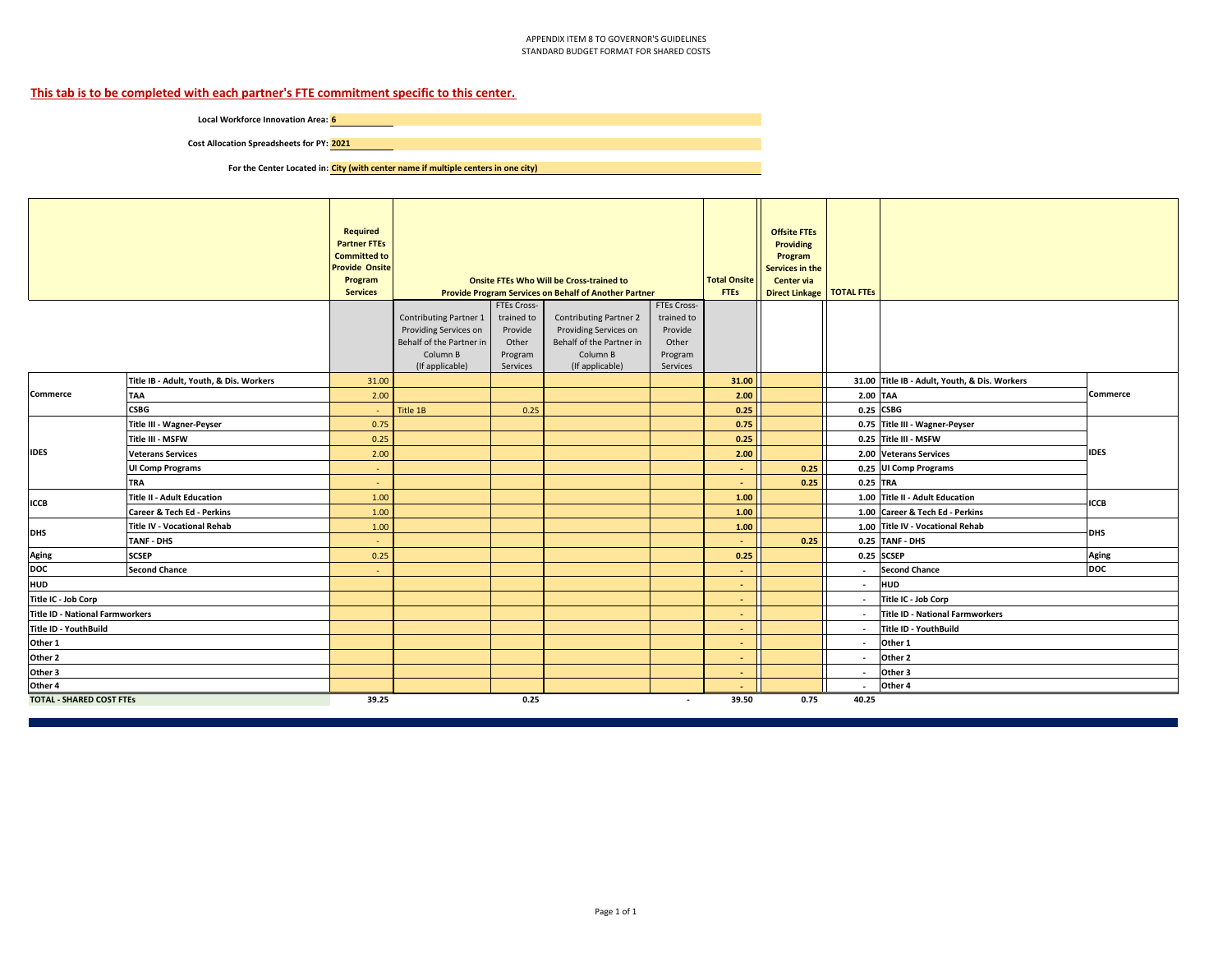#### **This tab is to be completed with each partner's FTE commitment specific to this center.**

**Local Workforce Innovation Area: 6**

**Cost Allocation Spreadsheets for PY: 2021**

**For the Center Located in: City (with center name if multiple centers in one city)**

|                                        |                                         | <b>Required</b><br><b>Partner FTEs</b><br><b>Committed to</b><br><b>Provide Onsite</b><br>Program<br><b>Services</b> |                                                                                                            |                                                                      | <b>Onsite FTEs Who Will be Cross-trained to</b><br><b>Provide Program Services on Behalf of Another Partner</b>   |                                                                      | <b>Total Onsite</b><br><b>FTES</b> | <b>Offsite FTEs</b><br>Providing<br>Program<br>Services in the<br>Center via<br>Direct Linkage   TOTAL FTEs |                                             |                                               |             |  |  |  |  |  |  |  |  |  |  |  |
|----------------------------------------|-----------------------------------------|----------------------------------------------------------------------------------------------------------------------|------------------------------------------------------------------------------------------------------------|----------------------------------------------------------------------|-------------------------------------------------------------------------------------------------------------------|----------------------------------------------------------------------|------------------------------------|-------------------------------------------------------------------------------------------------------------|---------------------------------------------|-----------------------------------------------|-------------|--|--|--|--|--|--|--|--|--|--|--|
|                                        |                                         |                                                                                                                      | Contributing Partner 1<br>Providing Services on<br>Behalf of the Partner in<br>Column B<br>(If applicable) | FTEs Cross-<br>trained to<br>Provide<br>Other<br>Program<br>Services | <b>Contributing Partner 2</b><br>Providing Services on<br>Behalf of the Partner in<br>Column B<br>(If applicable) | FTEs Cross-<br>trained to<br>Provide<br>Other<br>Program<br>Services |                                    |                                                                                                             |                                             |                                               |             |  |  |  |  |  |  |  |  |  |  |  |
|                                        | Title IB - Adult, Youth, & Dis. Workers | 31.00                                                                                                                |                                                                                                            |                                                                      |                                                                                                                   |                                                                      | 31.00                              |                                                                                                             |                                             | 31.00 Title IB - Adult, Youth, & Dis. Workers |             |  |  |  |  |  |  |  |  |  |  |  |
| <b>Commerce</b>                        | <b>TAA</b>                              | 2.00                                                                                                                 |                                                                                                            |                                                                      |                                                                                                                   |                                                                      | 2.00                               |                                                                                                             |                                             | 2.00 TAA<br><b>Commerce</b>                   |             |  |  |  |  |  |  |  |  |  |  |  |
|                                        | <b>CSBG</b>                             |                                                                                                                      | Title 1B                                                                                                   | 0.25                                                                 |                                                                                                                   |                                                                      | 0.25                               |                                                                                                             |                                             |                                               |             |  |  |  |  |  |  |  |  |  |  |  |
|                                        | Title III - Wagner-Peyser               | 0.75                                                                                                                 |                                                                                                            |                                                                      |                                                                                                                   |                                                                      | 0.75                               |                                                                                                             | 0.25 CSBG<br>0.75 Title III - Wagner-Peyser |                                               |             |  |  |  |  |  |  |  |  |  |  |  |
|                                        | Title III - MSFW                        | 0.25                                                                                                                 |                                                                                                            |                                                                      |                                                                                                                   |                                                                      | 0.25                               |                                                                                                             |                                             | 0.25 Title III - MSFW                         |             |  |  |  |  |  |  |  |  |  |  |  |
| <b>IDES</b>                            | <b>Veterans Services</b>                | 2.00                                                                                                                 |                                                                                                            |                                                                      |                                                                                                                   |                                                                      | 2.00                               |                                                                                                             |                                             | 2.00 Veterans Services                        | <b>IDES</b> |  |  |  |  |  |  |  |  |  |  |  |
|                                        | <b>UI Comp Programs</b>                 |                                                                                                                      |                                                                                                            |                                                                      |                                                                                                                   |                                                                      | $\sim$                             | 0.25                                                                                                        |                                             | 0.25 UI Comp Programs                         |             |  |  |  |  |  |  |  |  |  |  |  |
|                                        | TRA                                     | ٠                                                                                                                    |                                                                                                            |                                                                      |                                                                                                                   |                                                                      | $\sim$                             | 0.25                                                                                                        | 0.25 TRA                                    |                                               |             |  |  |  |  |  |  |  |  |  |  |  |
| <b>ICCB</b>                            | <b>Title II - Adult Education</b>       | 1.00                                                                                                                 |                                                                                                            |                                                                      |                                                                                                                   |                                                                      | 1.00                               |                                                                                                             |                                             | 1.00 Title II - Adult Education               | ICCB        |  |  |  |  |  |  |  |  |  |  |  |
|                                        | Career & Tech Ed - Perkins              | 1.00                                                                                                                 |                                                                                                            |                                                                      |                                                                                                                   |                                                                      | 1.00                               |                                                                                                             |                                             | 1.00 Career & Tech Ed - Perkins               |             |  |  |  |  |  |  |  |  |  |  |  |
|                                        | <b>Title IV - Vocational Rehab</b>      | 1.00                                                                                                                 |                                                                                                            |                                                                      |                                                                                                                   |                                                                      | 1.00                               |                                                                                                             |                                             | 1.00 Title IV - Vocational Rehab              |             |  |  |  |  |  |  |  |  |  |  |  |
| <b>DHS</b>                             | <b>TANF - DHS</b>                       |                                                                                                                      |                                                                                                            |                                                                      |                                                                                                                   |                                                                      | $\sim$                             | 0.25                                                                                                        |                                             | 0.25 TANF - DHS                               | <b>DHS</b>  |  |  |  |  |  |  |  |  |  |  |  |
| <b>Aging</b>                           | <b>SCSEP</b>                            | 0.25                                                                                                                 |                                                                                                            |                                                                      |                                                                                                                   |                                                                      | 0.25                               |                                                                                                             |                                             | 0.25 SCSEP                                    | Aging       |  |  |  |  |  |  |  |  |  |  |  |
| DOC                                    | <b>Second Chance</b>                    |                                                                                                                      |                                                                                                            |                                                                      |                                                                                                                   |                                                                      | $\sim$                             |                                                                                                             | $\sim$                                      | <b>Second Chance</b>                          | <b>DOC</b>  |  |  |  |  |  |  |  |  |  |  |  |
| <b>HUD</b>                             |                                         |                                                                                                                      |                                                                                                            |                                                                      |                                                                                                                   |                                                                      | $\blacksquare$                     |                                                                                                             | $\sim$                                      | <b>HUD</b>                                    |             |  |  |  |  |  |  |  |  |  |  |  |
| Title IC - Job Corp                    |                                         |                                                                                                                      |                                                                                                            |                                                                      |                                                                                                                   |                                                                      | $\sim$                             |                                                                                                             | $\sim$                                      | Title IC - Job Corp                           |             |  |  |  |  |  |  |  |  |  |  |  |
| <b>Title ID - National Farmworkers</b> |                                         |                                                                                                                      |                                                                                                            |                                                                      |                                                                                                                   |                                                                      | $\sim$                             |                                                                                                             | $\sim$                                      | <b>Title ID - National Farmworkers</b>        |             |  |  |  |  |  |  |  |  |  |  |  |
| Title ID - YouthBuild                  |                                         |                                                                                                                      |                                                                                                            |                                                                      |                                                                                                                   |                                                                      | $\sim$                             |                                                                                                             | $\sim$                                      | Title ID - YouthBuild                         |             |  |  |  |  |  |  |  |  |  |  |  |
| Other 1                                |                                         |                                                                                                                      |                                                                                                            |                                                                      |                                                                                                                   |                                                                      | $\sim$                             |                                                                                                             | $\sim$                                      | Other 1                                       |             |  |  |  |  |  |  |  |  |  |  |  |
| Other 2                                |                                         |                                                                                                                      |                                                                                                            |                                                                      |                                                                                                                   |                                                                      | $\sim$                             |                                                                                                             | $\sim$                                      | Other 2                                       |             |  |  |  |  |  |  |  |  |  |  |  |
| Other 3                                |                                         |                                                                                                                      |                                                                                                            |                                                                      |                                                                                                                   |                                                                      | $\sim$                             |                                                                                                             | $\sim$                                      | Other 3                                       |             |  |  |  |  |  |  |  |  |  |  |  |
| Other 4                                |                                         |                                                                                                                      |                                                                                                            |                                                                      |                                                                                                                   |                                                                      |                                    |                                                                                                             | $\sim$                                      | Other 4                                       |             |  |  |  |  |  |  |  |  |  |  |  |
| <b>TOTAL - SHARED COST FTES</b>        |                                         | 39.25                                                                                                                |                                                                                                            | 0.25                                                                 |                                                                                                                   | $\sim$                                                               | 39.50                              | 0.75                                                                                                        | 40.25                                       |                                               |             |  |  |  |  |  |  |  |  |  |  |  |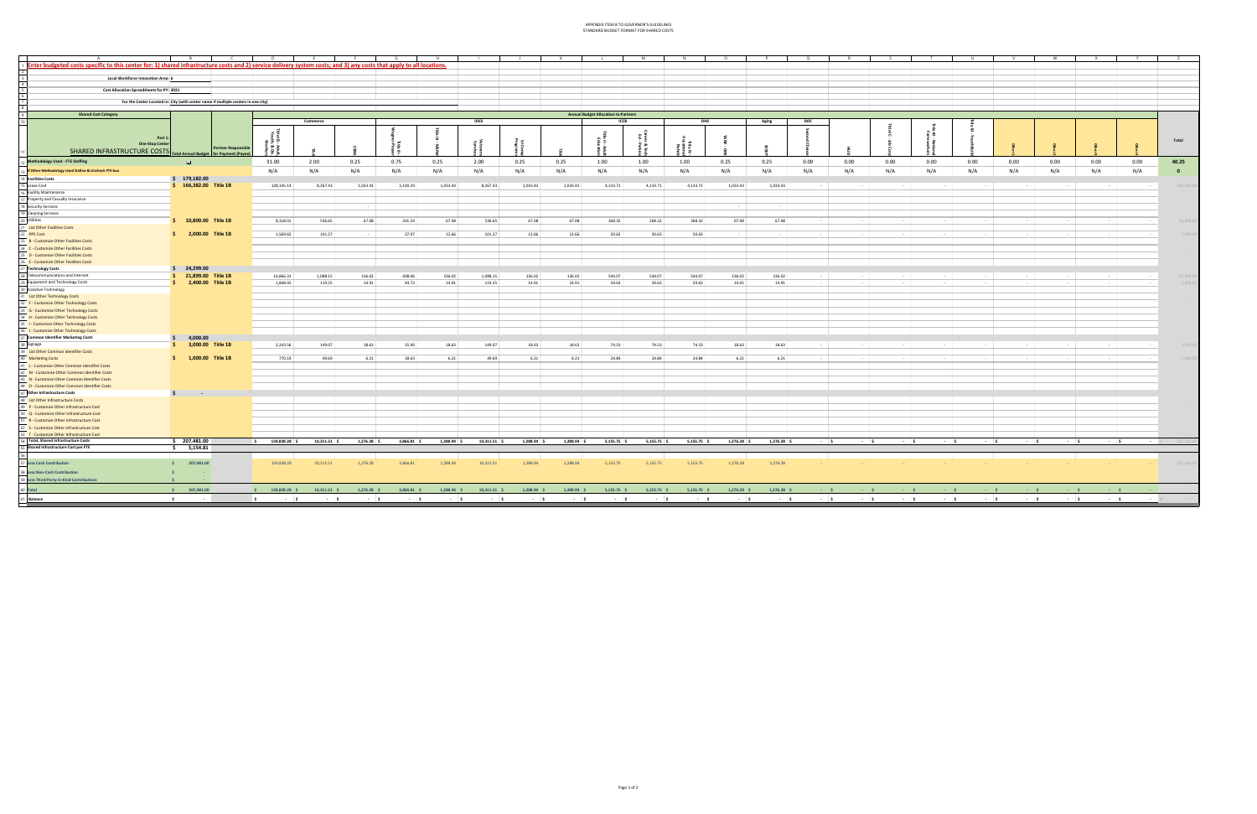|                                                                                                                                                                        |                                                                                    |                              |                |               |               |               |                |             |               |                                             | M             | N                       |               |               |                 |               |      |                |      |               |        |      |       |              |
|------------------------------------------------------------------------------------------------------------------------------------------------------------------------|------------------------------------------------------------------------------------|------------------------------|----------------|---------------|---------------|---------------|----------------|-------------|---------------|---------------------------------------------|---------------|-------------------------|---------------|---------------|-----------------|---------------|------|----------------|------|---------------|--------|------|-------|--------------|
| 1 Enter budgeted costs specific to this center for: 1) shared infrastructure costs and 2) service delivery system costs; and 3) any costs that apply to all locations. |                                                                                    |                              |                |               |               |               |                |             |               |                                             |               |                         |               |               |                 |               |      |                |      |               |        |      |       |              |
|                                                                                                                                                                        |                                                                                    |                              |                |               |               |               |                |             |               |                                             |               |                         |               |               |                 |               |      |                |      |               |        |      |       |              |
| Local Workforce Innovation Area: 6                                                                                                                                     |                                                                                    |                              |                |               |               |               |                |             |               |                                             |               |                         |               |               |                 |               |      |                |      |               |        |      |       |              |
| $\frac{4}{5}$<br>Cost Allocation Spreadsheets for PY: 2021                                                                                                             |                                                                                    |                              |                |               |               |               |                |             |               |                                             |               |                         |               |               |                 |               |      |                |      |               |        |      |       |              |
| 6                                                                                                                                                                      |                                                                                    |                              |                |               |               |               |                |             |               |                                             |               |                         |               |               |                 |               |      |                |      |               |        |      |       |              |
|                                                                                                                                                                        | For the Center Located in: City (with center name if multiple centers in one city) |                              |                |               |               |               |                |             |               |                                             |               |                         |               |               |                 |               |      |                |      |               |        |      |       |              |
|                                                                                                                                                                        |                                                                                    |                              |                |               |               |               |                |             |               |                                             |               |                         |               |               |                 |               |      |                |      |               |        |      |       |              |
| <b>Shared Cost Category</b>                                                                                                                                            |                                                                                    |                              |                |               |               |               |                |             |               | <b>Annual Budget Allocation to Partners</b> |               |                         |               |               |                 |               |      |                |      |               |        |      |       |              |
|                                                                                                                                                                        |                                                                                    |                              | Commerce       |               |               |               | <b>IDES</b>    |             |               | ICCB                                        |               | <b>DHS</b>              |               | Aging         | <b>DOC</b>      |               |      |                |      |               |        |      |       |              |
|                                                                                                                                                                        |                                                                                    | 55                           |                |               |               |               |                |             |               |                                             |               |                         |               |               |                 |               |      |                |      |               |        |      |       |              |
| Part 1<br><b>One-Stop Center</b>                                                                                                                                       |                                                                                    | " 출 출                        |                |               |               |               |                |             |               |                                             | 圖             |                         |               |               |                 |               |      |                |      |               |        |      |       | Total        |
|                                                                                                                                                                        | <b>Partner Responsible</b>                                                         | . Adult<br>.& Dis<br>(or ker |                |               |               |               |                |             |               |                                             | یو ہے         | itie IV<br>Reha<br>Reha |               |               |                 |               |      |                |      |               |        |      |       |              |
| SHARED INFRASTRUCTURE COSTS Total Annual Budget for Payment (Payee)                                                                                                    |                                                                                    |                              |                |               |               |               |                |             |               |                                             |               |                         |               |               |                 |               |      |                |      |               |        |      |       |              |
| <b>Methodology Used - FTE Staffing</b>                                                                                                                                 | $\Box$                                                                             | 31.00                        | 2.00           | 0.25          | 0.75          | 0.25          | 2.00           | 0.25        | 0.25          | 1.00                                        | 1.00          | 1.00                    | 0.25          | 0.25          | 0.00            | 0.00          | 0.00 | 0.00           | 0.00 | 0.00          | 0.00   | 0.00 | 0.00  | 40.25        |
| If Other Methodology Used Define & Uncheck FTE box                                                                                                                     |                                                                                    | N/A                          | N/A            | N/A           | N/A           | N/A           | N/A            | N/A         | N/A           | N/A                                         | N/A           | N/A                     | N/A           | N/A           | N/A             | N/A           | N/A  | N/A            | N/A  | N/A           | N/A    | N/A  | N/A   | $\mathbf{0}$ |
| 14 Facilities Costs                                                                                                                                                    | \$179,182.00                                                                       |                              |                |               |               |               |                |             |               |                                             |               |                         |               |               |                 |               |      |                |      |               |        |      |       |              |
| 15 Lease Cost                                                                                                                                                          | \$ 166,382.00 Title 1B                                                             | 128,145.14                   | 8,267.43       | 1,033.43      | 3,100.29      | 1,033.43      | 8,267.43       | 1,033.43    | 1,033.43      | 4,133.71                                    | 4,133.71      | 4,133.71                | 1,033.43      | 1,033.43      |                 |               |      |                |      |               |        |      |       | 166,382.     |
| 16 Facility Maintenance                                                                                                                                                |                                                                                    |                              |                |               |               |               |                |             |               |                                             |               |                         |               |               |                 |               |      |                |      |               |        |      |       |              |
| 17 Property and Casualty Insurance                                                                                                                                     |                                                                                    |                              |                |               |               |               |                |             |               |                                             |               |                         |               |               |                 |               |      |                |      |               |        |      |       |              |
| 18 Security Services                                                                                                                                                   |                                                                                    |                              |                |               |               |               |                |             |               |                                             |               |                         |               |               |                 |               |      |                |      |               |        |      |       |              |
| 19 Cleaning Services                                                                                                                                                   |                                                                                    |                              |                |               |               |               |                |             |               |                                             |               |                         |               |               |                 |               |      |                |      |               |        |      |       |              |
| 20 Utilities                                                                                                                                                           | \$ 10,800.00 Title 1B                                                              | 8,318.01                     | 536.65         | 67.08         | 201.24        | 67.08         | 536.65         | 67.08       | 67.08         | 268.32                                      | 268.32        | 268.32                  | 67.08         | 67.08         |                 |               |      |                |      |               |        |      |       | 10,800.0     |
| 21 List Other Facilities Costs                                                                                                                                         |                                                                                    |                              |                |               |               |               |                |             |               |                                             |               |                         |               |               |                 |               |      |                |      |               |        |      |       |              |
| 22 PPE Cost                                                                                                                                                            | $$2,000.00$ Title 1B                                                               | 1,569.62                     | 101.27         |               | 37.97         | 12.66         | 101.27         | 12.66       | 12.66         | 50.63                                       | 50.63         | 50.63                   |               |               |                 |               |      |                |      |               |        |      |       | 2,000.0      |
| 23 B - Customize Other Facilities Costs                                                                                                                                |                                                                                    |                              |                |               |               |               |                |             |               |                                             |               |                         |               |               |                 |               |      |                |      |               |        |      |       |              |
| 24 C - Customize Other Facilities Costs                                                                                                                                |                                                                                    |                              |                |               |               |               |                |             |               |                                             |               |                         |               |               |                 |               |      |                |      |               |        |      |       |              |
| 25 D - Customize Other Facilities Costs<br>26 E - Customize Other Facilities Costs                                                                                     |                                                                                    |                              |                |               |               |               |                |             |               |                                             |               |                         |               |               |                 |               |      |                |      |               |        |      |       |              |
| 27 Technology Costs                                                                                                                                                    | 24,299.00                                                                          |                              |                |               |               |               |                |             |               |                                             |               |                         |               |               |                 |               |      |                |      |               |        |      |       |              |
| 28 Telecommunications and Internet                                                                                                                                     | 21,899.00 Title 1B<br>$\sim$                                                       | 16,866.31                    | 1,088.15       | 136.02        | 408.06        | 136.02        | 1.088.15       | 136.02      | 136.02        | 544.07                                      | 544.07        | 544.07                  | 136.02        | 136.02        |                 |               |      |                |      |               |        |      |       | 21,899.0     |
| 29 Equipment and Technology Costs                                                                                                                                      | 2,400.00 Title 1B                                                                  | 1,848.45                     | 119.25         | 14.91         | 44.72         | 14.91         | 119.25         | 14.91       | 14.91         | 59.63                                       | 59.63         | 59.63                   | 14.91         | 14.91         | <b>STATE</b>    | $\sim$        |      | $\sim$         |      |               | $\sim$ |      |       | 2,400.0      |
| 30 Assistive Technology                                                                                                                                                |                                                                                    |                              |                |               |               |               |                |             |               |                                             |               |                         |               |               |                 |               |      |                |      |               |        |      |       |              |
| 31 List Other Technology Costs                                                                                                                                         |                                                                                    |                              |                |               |               |               |                |             |               |                                             |               |                         |               |               |                 |               |      |                |      |               |        |      |       |              |
| 32 F - Customize Other Technology Costs                                                                                                                                |                                                                                    |                              |                |               |               |               |                |             |               |                                             |               |                         |               |               |                 |               |      |                |      |               |        |      |       |              |
| 33 G - Customize Other Technology Costs                                                                                                                                |                                                                                    |                              |                |               |               |               |                |             |               |                                             |               |                         |               |               |                 |               |      |                |      |               |        |      |       |              |
| 34 H - Customize Other Technology Costs                                                                                                                                |                                                                                    |                              |                |               |               |               |                |             |               |                                             |               |                         |               |               |                 |               |      |                |      |               |        |      |       |              |
| 35   I - Customize Other Technology Costs                                                                                                                              |                                                                                    |                              |                |               |               |               |                |             |               |                                             |               |                         |               |               |                 |               |      |                |      |               |        |      |       |              |
| 36 J - Customize Other Technology Costs                                                                                                                                |                                                                                    |                              |                |               |               |               |                |             |               |                                             |               |                         |               |               |                 |               |      |                |      |               |        |      |       |              |
| 37 Common Identifier Marketing Costs                                                                                                                                   | \$ 4,000.00                                                                        |                              |                |               |               |               |                |             |               |                                             |               |                         |               |               |                 |               |      |                |      |               |        |      |       |              |
| 38 Signage<br>39 List Other Common Identifier Costs                                                                                                                    | 3,000.00 Title 1B                                                                  | 2,310.56                     | 149.07         | 18.63         | 55.90         | 18.63         | 149.07         | 18.63       | 18.63         | 74.53                                       | 74.53         | 74.53                   | 18.63         | 18.63         |                 |               |      |                |      |               |        |      |       | 3,000.0      |
| 40 Marketing Costs                                                                                                                                                     | $$ 1,000.00$ Title 1B                                                              | 770.19                       |                |               |               |               |                |             |               |                                             | 24.84         |                         |               |               | <b>Contract</b> |               |      | <b>Service</b> |      |               |        |      |       | 1,000.0      |
| 41 L - Customize Other Common Identifier Costs                                                                                                                         |                                                                                    |                              | 49.69          | 6.21          | 18.63         | 6.21          | 49.69          | 6.21        | 6.21          | 24.84                                       |               | 24.84                   | 6.21          | 6.21          |                 |               |      |                |      |               |        |      |       |              |
| 42 M - Customize Other Common Identifier Costs                                                                                                                         |                                                                                    |                              |                |               |               |               |                |             |               |                                             |               |                         |               |               |                 |               |      |                |      |               |        |      |       |              |
| 43 N - Customize Other Common Identifier Costs                                                                                                                         |                                                                                    |                              |                |               |               |               |                |             |               |                                             |               |                         |               |               |                 |               |      |                |      |               |        |      |       |              |
| 44 O - Customize Other Common Identifier Costs                                                                                                                         |                                                                                    |                              |                |               |               |               |                |             |               |                                             |               |                         |               |               |                 |               |      |                |      |               |        |      |       |              |
| 47 Other Infrastructure Costs                                                                                                                                          |                                                                                    |                              |                |               |               |               |                |             |               |                                             |               |                         |               |               |                 |               |      |                |      |               |        |      |       |              |
| 48 List Other Infrastructure Costs                                                                                                                                     |                                                                                    |                              |                |               |               |               |                |             |               |                                             |               |                         |               |               |                 |               |      |                |      |               |        |      |       |              |
| 49 P - Customize Other Infrastructure Cost                                                                                                                             |                                                                                    |                              |                |               |               |               |                |             |               |                                             |               |                         |               |               |                 |               |      |                |      |               |        |      |       |              |
| 50 Q - Customize Other Infrastructure Cost                                                                                                                             |                                                                                    |                              |                |               |               |               |                |             |               |                                             |               |                         |               |               |                 |               |      |                |      |               |        |      |       |              |
| 51 R - Customize Other Infrastructure Cost                                                                                                                             |                                                                                    |                              |                |               |               |               |                |             |               |                                             |               |                         |               |               |                 |               |      |                |      |               |        |      |       |              |
| 52 S - Customize Other Infrastructure Cost                                                                                                                             |                                                                                    |                              |                |               |               |               |                |             |               |                                             |               |                         |               |               |                 |               |      |                |      |               |        |      |       |              |
| 53 T - Customize Other Infrastructure Cost<br>54 Total, Shared Infrastructure Costs                                                                                    |                                                                                    |                              |                |               |               |               |                |             |               |                                             |               |                         |               |               |                 |               |      |                |      |               |        |      |       |              |
| 5 Shared Infrastructure Cost per FTE                                                                                                                                   | \$207,481.00<br>5,154.81                                                           | 159,828.28 \$                | $10,311.51$ \$ | 1,276.28 \$   | 3,866.81 \$   | 1,288.94 \$   | 10,311.51 \$   | 1,288.94 \$ | 1,288.94 \$   | 5,155.75 \$                                 | $5,155.75$ \$ | $5,155.75$ \$           | 1,276.28 \$   | $1,276.28$ \$ | $ \sqrt{5}$     | $-5$          | - \$ |                | $-5$ | - 15          | - IS   | $-5$ | - 1\$ |              |
|                                                                                                                                                                        |                                                                                    |                              |                |               |               |               |                |             |               |                                             |               |                         |               |               |                 |               |      |                |      |               |        |      |       |              |
| 57 Less Cash Contribution                                                                                                                                              | 207,481.00<br>S                                                                    | 159,828.28                   | 10,311.51      | 1,276.28      | 3,866.81      | 1,288.94      | 10,311.51      | 1,288.94    | 1,288.94      | 5,155.75                                    | 5,155.75      | 5,155.75                | 1,276.28      | 1,276.28      |                 |               |      |                |      |               |        |      |       | 207,481.0    |
|                                                                                                                                                                        |                                                                                    |                              |                |               |               |               |                |             |               |                                             |               |                         |               |               |                 |               |      |                |      |               |        |      |       |              |
| 58 Less Non-Cash Contribution                                                                                                                                          |                                                                                    |                              |                |               |               |               |                |             |               |                                             |               |                         |               |               |                 |               |      |                |      |               |        |      |       |              |
| 59 Less Third-Party In-Kind Contributions                                                                                                                              |                                                                                    |                              |                |               |               |               |                |             |               |                                             |               |                         |               |               |                 |               |      |                |      |               |        |      |       |              |
| 60 Total                                                                                                                                                               | \$207,481.00                                                                       | 159,828.28 \$                | 10,311.51 \$   | 1,276.28 \$   | $3,866.81$ \$ | 1,288.94 \$   | $10,311.51$ \$ | 1,288.94 \$ | 1,288.94 \$   | 5,155.75 \$                                 | $5,155.75$ \$ | $5,155.75$ \$           | $1,276.28$ \$ | $1,276.28$ \$ |                 |               |      |                |      |               |        |      |       |              |
| <b>Balance</b>                                                                                                                                                         |                                                                                    |                              | $\sim$ $\sim$  | $\sim$ $\sim$ | $ \sim$       | $\sim$ $\sim$ | $\sim$ $\sim$  | $-15$       | $\sim$ $\sim$ | $\sim$ $\sim$                               |               | $-15$                   | $\sim$ $\sim$ | $ \sim$       | $ \vert$ s      | $\sim$ $\sim$ | $-5$ |                | $-5$ | $\sim$ $\sim$ | $-15$  | $-5$ | $-5$  |              |
|                                                                                                                                                                        |                                                                                    |                              |                |               |               |               |                |             |               |                                             |               |                         |               |               |                 |               |      |                |      |               |        |      |       |              |